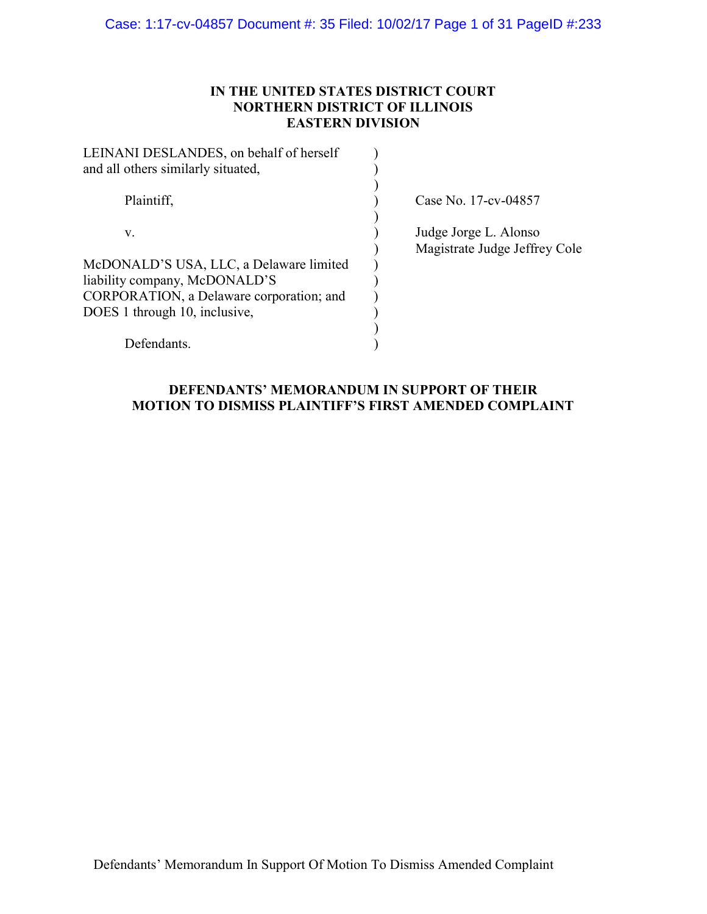## IN THE UNITED STATES DISTRICT COURT NORTHERN DISTRICT OF ILLINOIS EASTERN DIVISION

| LEINANI DESLANDES, on behalf of herself<br>and all others similarly situated, |                                                        |
|-------------------------------------------------------------------------------|--------------------------------------------------------|
| Plaintiff,                                                                    | Case No. 17-cv-04857                                   |
| V.                                                                            | Judge Jorge L. Alonso<br>Magistrate Judge Jeffrey Cole |
| McDONALD'S USA, LLC, a Delaware limited                                       |                                                        |
| liability company, McDONALD'S                                                 |                                                        |
| CORPORATION, a Delaware corporation; and                                      |                                                        |
| DOES 1 through 10, inclusive,                                                 |                                                        |
|                                                                               |                                                        |
| Defendants.                                                                   |                                                        |

## DEFENDANTS' MEMORANDUM IN SUPPORT OF THEIR MOTION TO DISMISS PLAINTIFF'S FIRST AMENDED COMPLAINT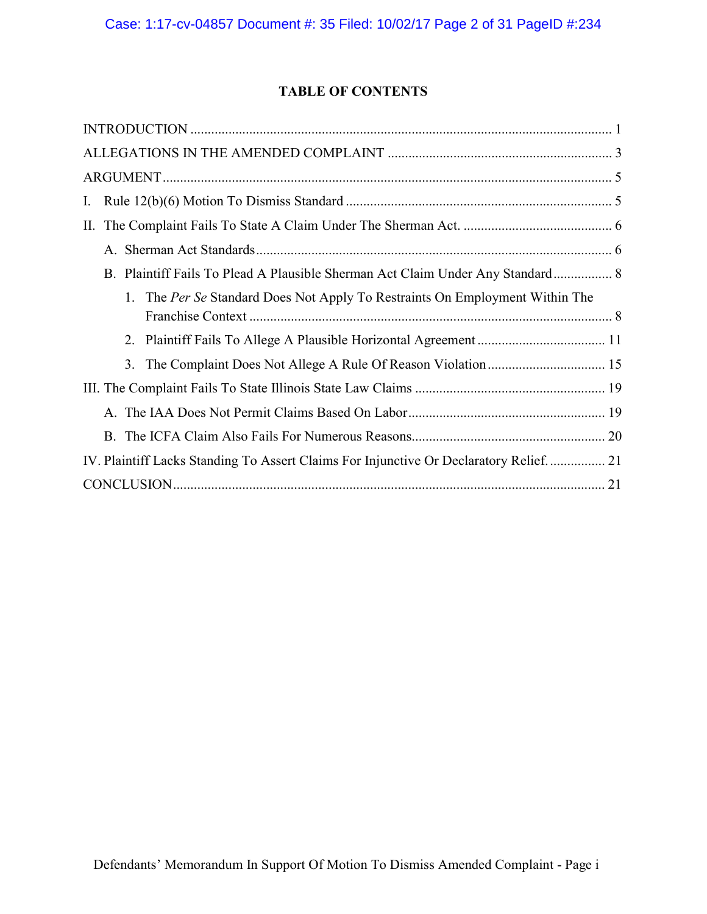# TABLE OF CONTENTS

| I.                                                                                    |
|---------------------------------------------------------------------------------------|
|                                                                                       |
|                                                                                       |
| B. Plaintiff Fails To Plead A Plausible Sherman Act Claim Under Any Standard 8        |
| 1. The Per Se Standard Does Not Apply To Restraints On Employment Within The          |
|                                                                                       |
|                                                                                       |
|                                                                                       |
|                                                                                       |
|                                                                                       |
|                                                                                       |
| IV. Plaintiff Lacks Standing To Assert Claims For Injunctive Or Declaratory Relief 21 |
|                                                                                       |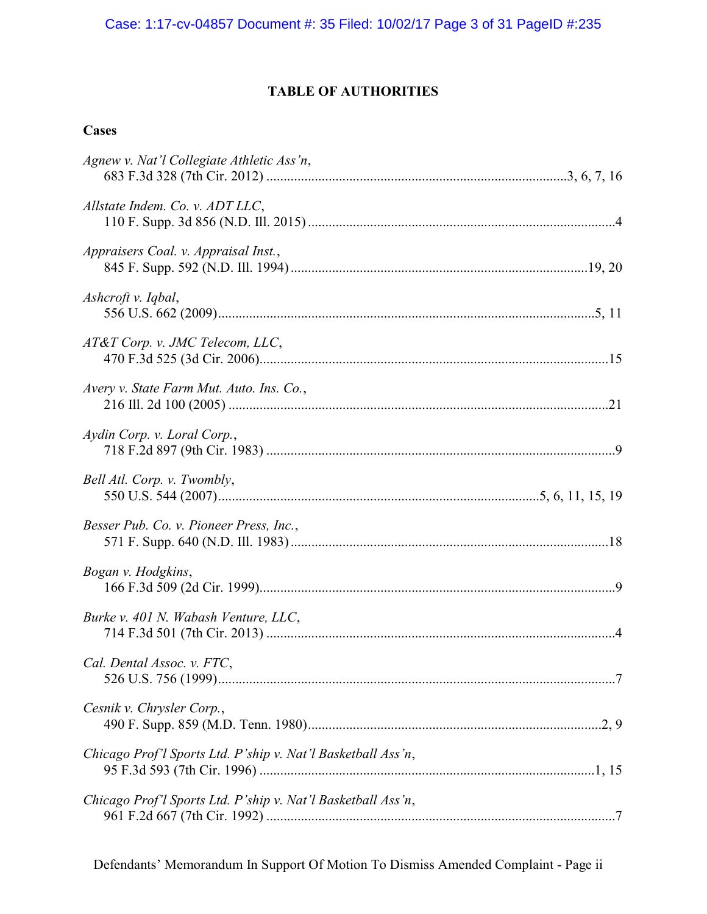# TABLE OF AUTHORITIES

## **Cases**

| Agnew v. Nat'l Collegiate Athletic Ass'n,                    |
|--------------------------------------------------------------|
| Allstate Indem. Co. v. ADT LLC,                              |
| Appraisers Coal. v. Appraisal Inst.,                         |
| Ashcroft v. Iqbal,                                           |
| AT&T Corp. v. JMC Telecom, LLC,                              |
| Avery v. State Farm Mut. Auto. Ins. Co.,                     |
| Aydin Corp. v. Loral Corp.,                                  |
| Bell Atl. Corp. v. Twombly,                                  |
| Besser Pub. Co. v. Pioneer Press, Inc.,                      |
| Bogan v. Hodgkins,                                           |
| Burke v. 401 N. Wabash Venture, LLC,                         |
| Cal. Dental Assoc. v. FTC,                                   |
| Cesnik v. Chrysler Corp.,                                    |
| Chicago Prof'l Sports Ltd. P'ship v. Nat'l Basketball Ass'n, |
| Chicago Prof'l Sports Ltd. P'ship v. Nat'l Basketball Ass'n, |

Defendants' Memorandum In Support Of Motion To Dismiss Amended Complaint - Page ii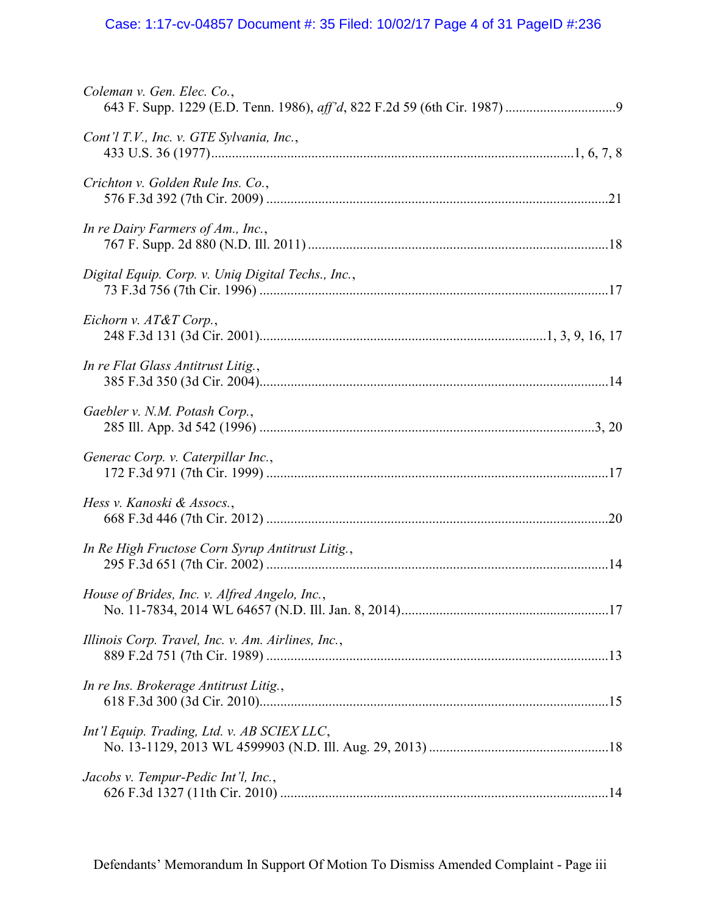# Case: 1:17-cv-04857 Document #: 35 Filed: 10/02/17 Page 4 of 31 PageID #:236

| Coleman v. Gen. Elec. Co.,                         |
|----------------------------------------------------|
| Cont'l T.V., Inc. v. GTE Sylvania, Inc.,           |
| Crichton v. Golden Rule Ins. Co.,                  |
| In re Dairy Farmers of Am., Inc.,                  |
| Digital Equip. Corp. v. Uniq Digital Techs., Inc., |
| Eichorn v. AT&T Corp.,                             |
| In re Flat Glass Antitrust Litig.,                 |
| Gaebler v. N.M. Potash Corp.,                      |
| Generac Corp. v. Caterpillar Inc.,                 |
| Hess v. Kanoski & Assocs.,                         |
| In Re High Fructose Corn Syrup Antitrust Litig.,   |
| House of Brides, Inc. v. Alfred Angelo, Inc.,      |
| Illinois Corp. Travel, Inc. v. Am. Airlines, Inc., |
| In re Ins. Brokerage Antitrust Litig.,             |
| Int'l Equip. Trading, Ltd. v. AB SCIEX LLC,        |
| Jacobs v. Tempur-Pedic Int'l, Inc.,                |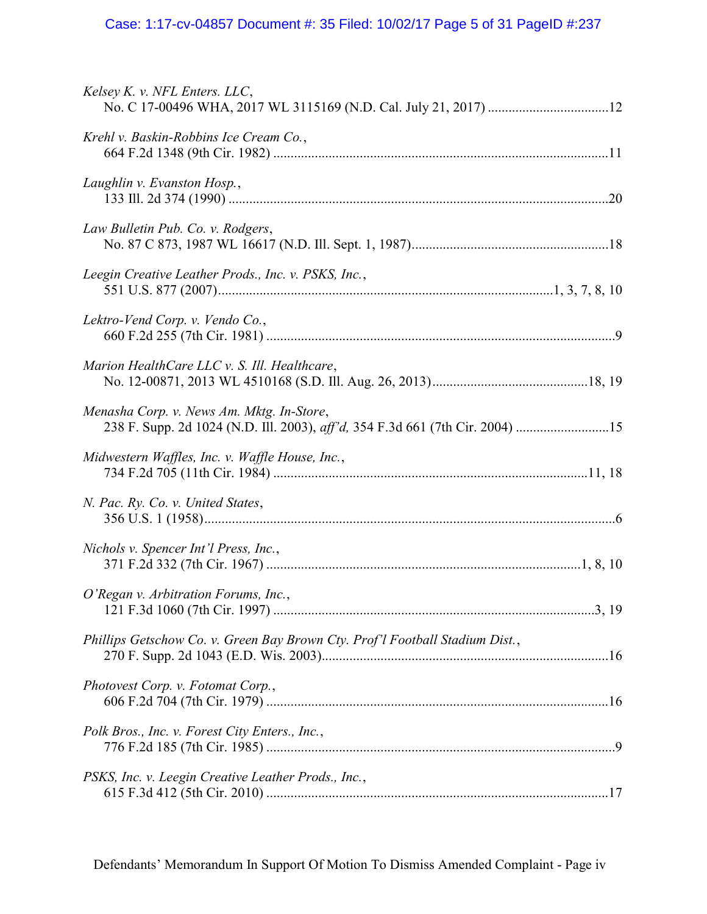# Case: 1:17-cv-04857 Document #: 35 Filed: 10/02/17 Page 5 of 31 PageID #:237

| Kelsey K. v. NFL Enters. LLC,                                                                                              |
|----------------------------------------------------------------------------------------------------------------------------|
| Krehl v. Baskin-Robbins Ice Cream Co.,                                                                                     |
| Laughlin v. Evanston Hosp.,                                                                                                |
| Law Bulletin Pub. Co. v. Rodgers,                                                                                          |
| Leegin Creative Leather Prods., Inc. v. PSKS, Inc.,                                                                        |
| Lektro-Vend Corp. v. Vendo Co.,                                                                                            |
| Marion HealthCare LLC v. S. Ill. Healthcare,                                                                               |
| Menasha Corp. v. News Am. Mktg. In-Store,<br>238 F. Supp. 2d 1024 (N.D. Ill. 2003), aff'd, 354 F.3d 661 (7th Cir. 2004) 15 |
| Midwestern Waffles, Inc. v. Waffle House, Inc.,                                                                            |
| N. Pac. Ry. Co. v. United States,                                                                                          |
| Nichols v. Spencer Int'l Press, Inc.,                                                                                      |
| O'Regan v. Arbitration Forums, Inc.,                                                                                       |
| Phillips Getschow Co. v. Green Bay Brown Cty. Prof'l Football Stadium Dist.,                                               |
| Photovest Corp. v. Fotomat Corp.,                                                                                          |
| Polk Bros., Inc. v. Forest City Enters., Inc.,                                                                             |
| PSKS, Inc. v. Leegin Creative Leather Prods., Inc.,                                                                        |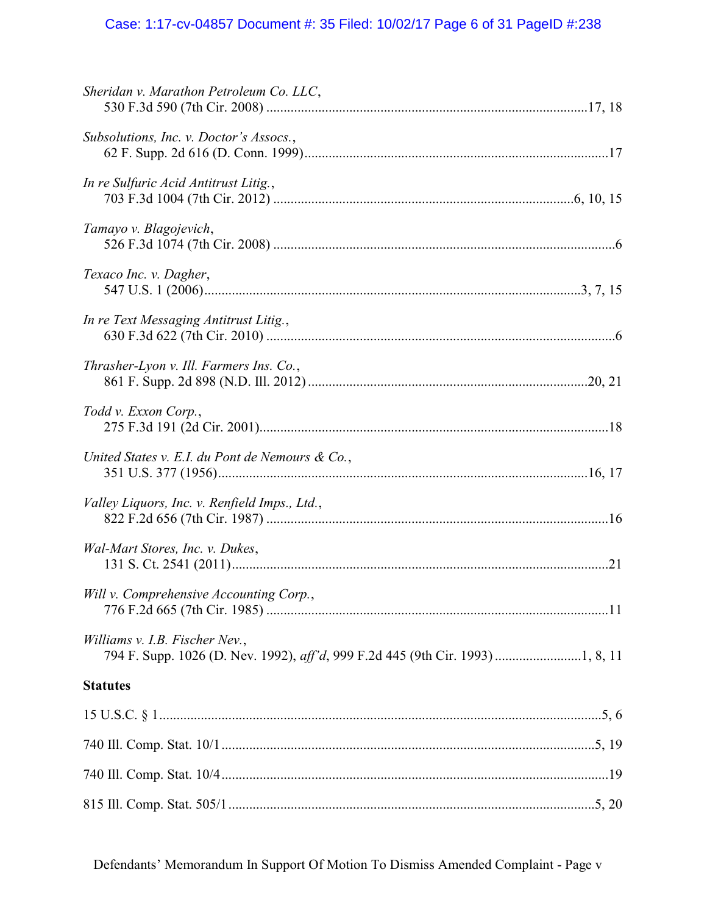# Case: 1:17-cv-04857 Document #: 35 Filed: 10/02/17 Page 6 of 31 PageID #:238

| Sheridan v. Marathon Petroleum Co. LLC,         |
|-------------------------------------------------|
| Subsolutions, Inc. v. Doctor's Assocs.,         |
| In re Sulfuric Acid Antitrust Litig.,           |
| Tamayo v. Blagojevich,                          |
| Texaco Inc. v. Dagher,                          |
| In re Text Messaging Antitrust Litig.,          |
| Thrasher-Lyon v. Ill. Farmers Ins. Co.,         |
| Todd v. Exxon Corp.,                            |
| United States v. E.I. du Pont de Nemours & Co., |
| Valley Liquors, Inc. v. Renfield Imps., Ltd.,   |
| Wal-Mart Stores, Inc. v. Dukes,                 |
| Will v. Comprehensive Accounting Corp.,         |
| Williams v. I.B. Fischer Nev.,                  |
| <b>Statutes</b>                                 |
|                                                 |
|                                                 |
|                                                 |
|                                                 |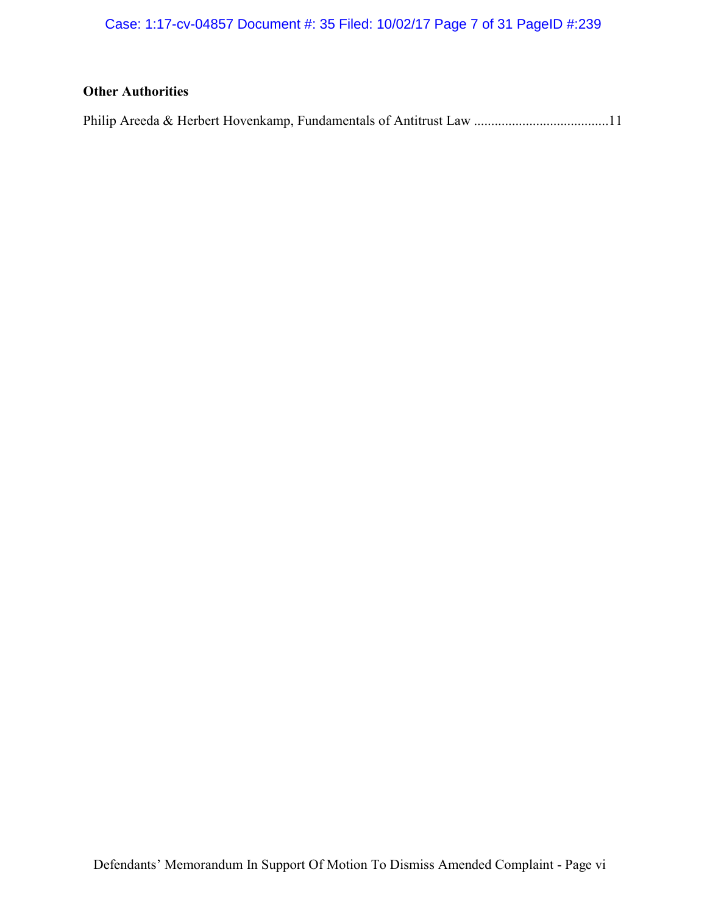Case: 1:17-cv-04857 Document #: 35 Filed: 10/02/17 Page 7 of 31 PageID #:239

# **Other Authorities**

|--|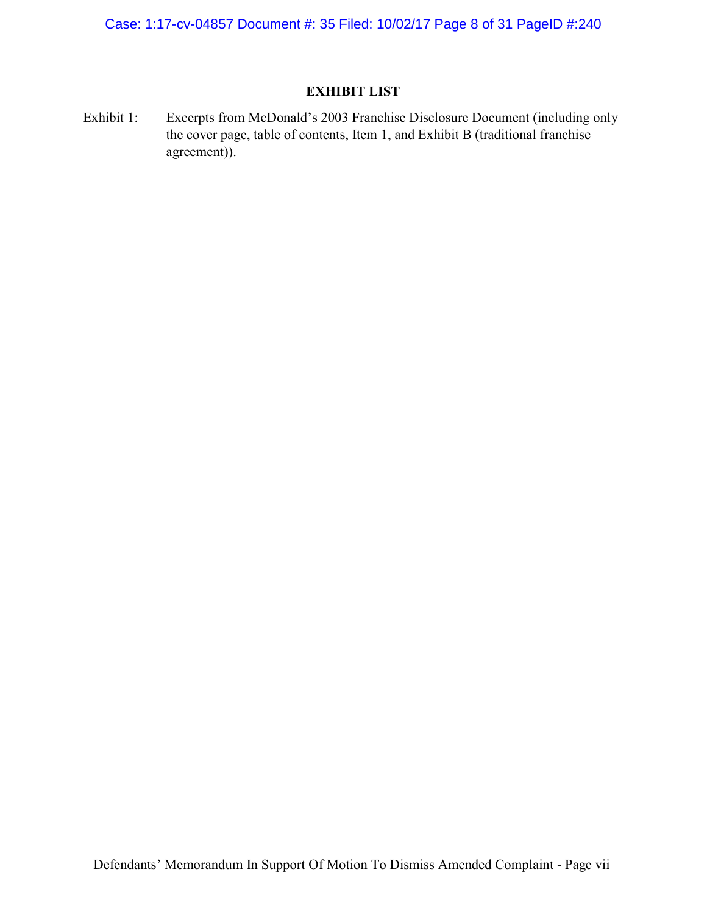Case: 1:17-cv-04857 Document #: 35 Filed: 10/02/17 Page 8 of 31 PageID #:240

## EXHIBIT LIST

Exhibit 1: Excerpts from McDonald's 2003 Franchise Disclosure Document (including only the cover page, table of contents, Item 1, and Exhibit B (traditional franchise agreement)).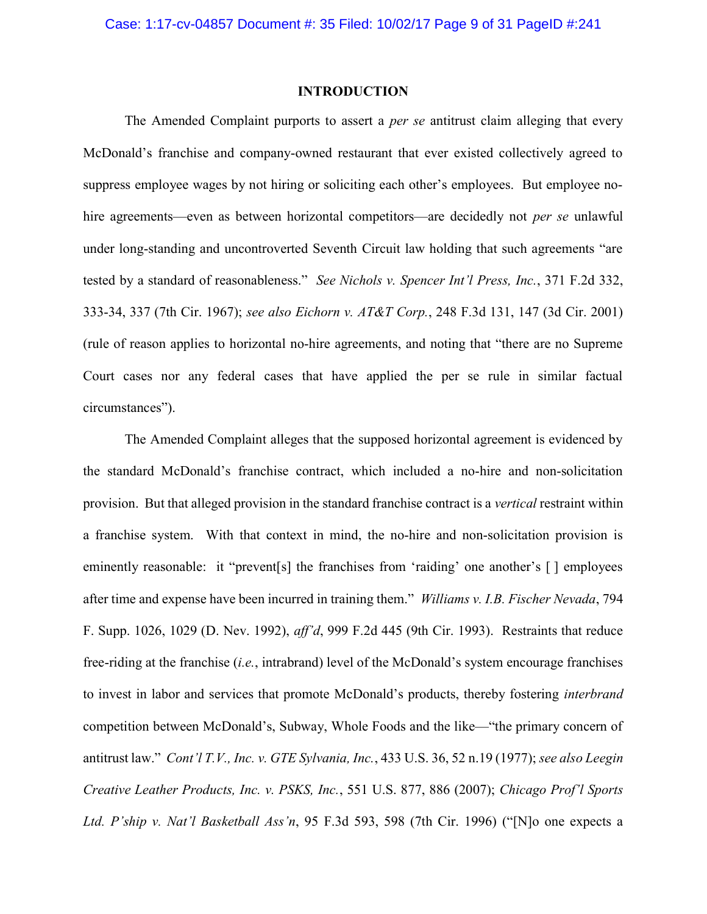### INTRODUCTION

The Amended Complaint purports to assert a *per se* antitrust claim alleging that every McDonald's franchise and company-owned restaurant that ever existed collectively agreed to suppress employee wages by not hiring or soliciting each other's employees. But employee nohire agreements—even as between horizontal competitors—are decidedly not *per se* unlawful under long-standing and uncontroverted Seventh Circuit law holding that such agreements "are tested by a standard of reasonableness." See Nichols v. Spencer Int'l Press, Inc., 371 F.2d 332, 333-34, 337 (7th Cir. 1967); see also Eichorn v. AT&T Corp., 248 F.3d 131, 147 (3d Cir. 2001) (rule of reason applies to horizontal no-hire agreements, and noting that "there are no Supreme Court cases nor any federal cases that have applied the per se rule in similar factual circumstances").

The Amended Complaint alleges that the supposed horizontal agreement is evidenced by the standard McDonald's franchise contract, which included a no-hire and non-solicitation provision. But that alleged provision in the standard franchise contract is a vertical restraint within a franchise system. With that context in mind, the no-hire and non-solicitation provision is eminently reasonable: it "prevent[s] the franchises from 'raiding' one another's [] employees after time and expense have been incurred in training them." Williams v. I.B. Fischer Nevada, 794 F. Supp. 1026, 1029 (D. Nev. 1992), aff'd, 999 F.2d 445 (9th Cir. 1993). Restraints that reduce free-riding at the franchise (i.e., intrabrand) level of the McDonald's system encourage franchises to invest in labor and services that promote McDonald's products, thereby fostering interbrand competition between McDonald's, Subway, Whole Foods and the like—"the primary concern of antitrust law." Cont'l T.V., Inc. v. GTE Sylvania, Inc., 433 U.S. 36, 52 n.19 (1977); see also Leegin Creative Leather Products, Inc. v. PSKS, Inc., 551 U.S. 877, 886 (2007); Chicago Prof'l Sports Ltd. P'ship v. Nat'l Basketball Ass'n, 95 F.3d 593, 598 (7th Cir. 1996) ("[N]o one expects a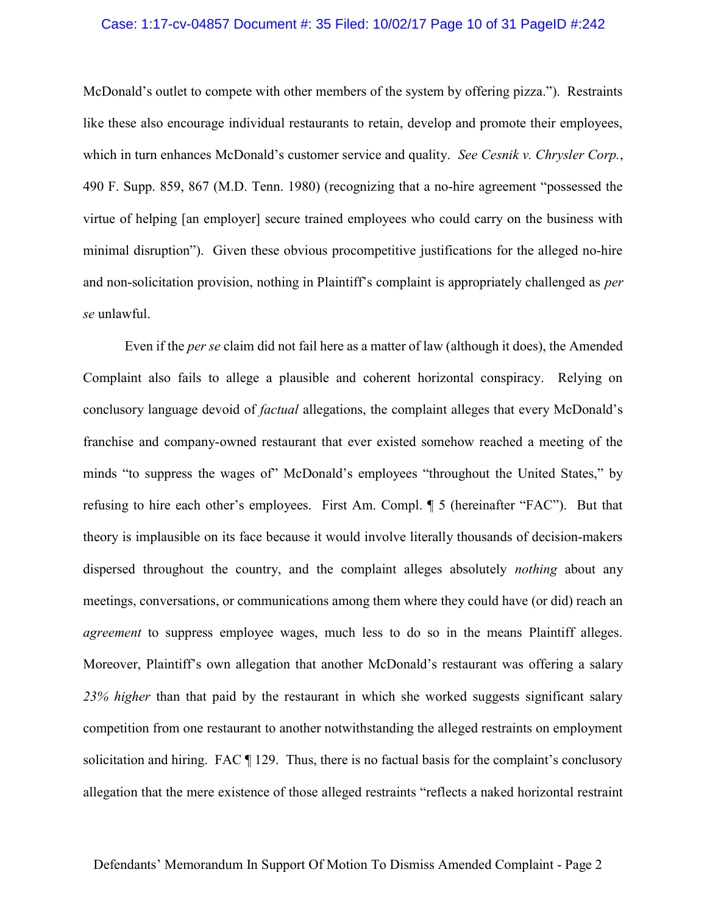### Case: 1:17-cv-04857 Document #: 35 Filed: 10/02/17 Page 10 of 31 PageID #:242

McDonald's outlet to compete with other members of the system by offering pizza."). Restraints like these also encourage individual restaurants to retain, develop and promote their employees, which in turn enhances McDonald's customer service and quality. See Cesnik v. Chrysler Corp., 490 F. Supp. 859, 867 (M.D. Tenn. 1980) (recognizing that a no-hire agreement "possessed the virtue of helping [an employer] secure trained employees who could carry on the business with minimal disruption"). Given these obvious procompetitive justifications for the alleged no-hire and non-solicitation provision, nothing in Plaintiff's complaint is appropriately challenged as per se unlawful.

Even if the *per se* claim did not fail here as a matter of law (although it does), the Amended Complaint also fails to allege a plausible and coherent horizontal conspiracy. Relying on conclusory language devoid of *factual* allegations, the complaint alleges that every McDonald's franchise and company-owned restaurant that ever existed somehow reached a meeting of the minds "to suppress the wages of" McDonald's employees "throughout the United States," by refusing to hire each other's employees. First Am. Compl. ¶ 5 (hereinafter "FAC"). But that theory is implausible on its face because it would involve literally thousands of decision-makers dispersed throughout the country, and the complaint alleges absolutely *nothing* about any meetings, conversations, or communications among them where they could have (or did) reach an agreement to suppress employee wages, much less to do so in the means Plaintiff alleges. Moreover, Plaintiff's own allegation that another McDonald's restaurant was offering a salary 23% higher than that paid by the restaurant in which she worked suggests significant salary competition from one restaurant to another notwithstanding the alleged restraints on employment solicitation and hiring. FAC ¶ 129. Thus, there is no factual basis for the complaint's conclusory allegation that the mere existence of those alleged restraints "reflects a naked horizontal restraint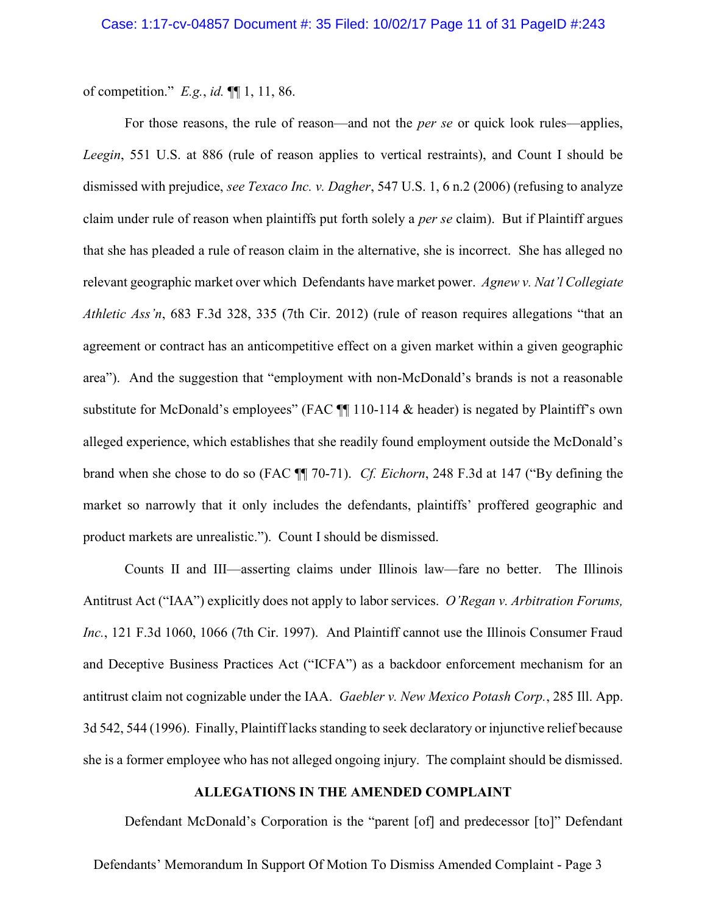of competition."  $E.g., id. \P\P 1, 11, 86.$ 

For those reasons, the rule of reason—and not the per se or quick look rules—applies, Leegin, 551 U.S. at 886 (rule of reason applies to vertical restraints), and Count I should be dismissed with prejudice, *see Texaco Inc. v. Dagher*, 547 U.S. 1, 6 n.2 (2006) (refusing to analyze claim under rule of reason when plaintiffs put forth solely a *per se* claim). But if Plaintiff argues that she has pleaded a rule of reason claim in the alternative, she is incorrect. She has alleged no relevant geographic market over which Defendants have market power. Agnew v. Nat'l Collegiate Athletic Ass'n, 683 F.3d 328, 335 (7th Cir. 2012) (rule of reason requires allegations "that an agreement or contract has an anticompetitive effect on a given market within a given geographic area"). And the suggestion that "employment with non-McDonald's brands is not a reasonable substitute for McDonald's employees" (FAC  $\P$  110-114 & header) is negated by Plaintiff's own alleged experience, which establishes that she readily found employment outside the McDonald's brand when she chose to do so (FAC ¶¶ 70-71). Cf. Eichorn, 248 F.3d at 147 ("By defining the market so narrowly that it only includes the defendants, plaintiffs' proffered geographic and product markets are unrealistic."). Count I should be dismissed.

Counts II and III—asserting claims under Illinois law—fare no better. The Illinois Antitrust Act ("IAA") explicitly does not apply to labor services. O'Regan v. Arbitration Forums, Inc., 121 F.3d 1060, 1066 (7th Cir. 1997). And Plaintiff cannot use the Illinois Consumer Fraud and Deceptive Business Practices Act ("ICFA") as a backdoor enforcement mechanism for an antitrust claim not cognizable under the IAA. Gaebler v. New Mexico Potash Corp., 285 Ill. App. 3d 542, 544 (1996). Finally, Plaintiff lacks standing to seek declaratory or injunctive relief because she is a former employee who has not alleged ongoing injury. The complaint should be dismissed.

## ALLEGATIONS IN THE AMENDED COMPLAINT

Defendant McDonald's Corporation is the "parent [of] and predecessor [to]" Defendant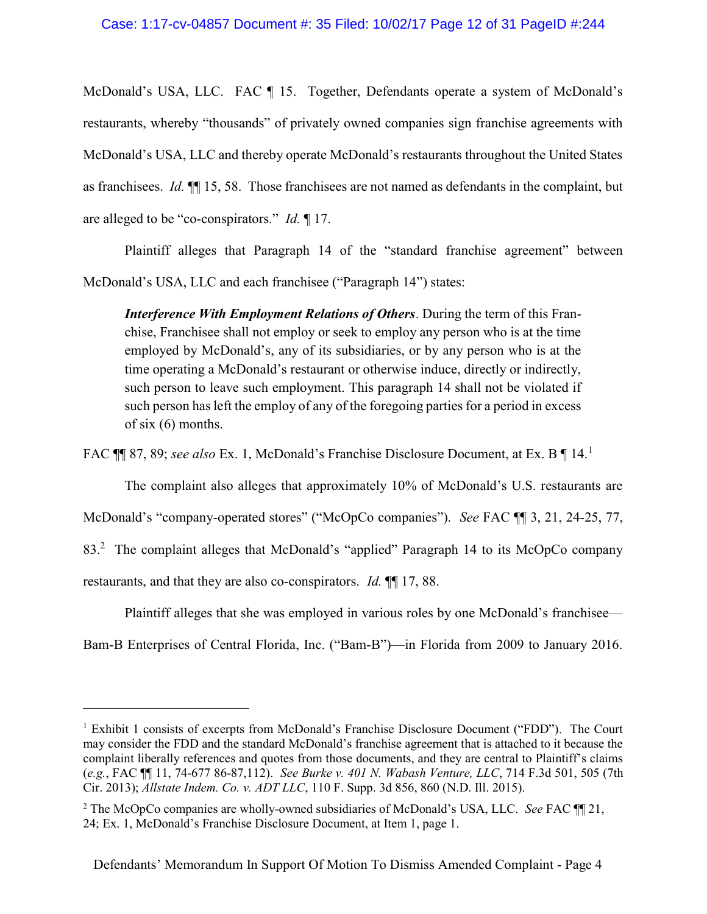McDonald's USA, LLC. FAC ¶ 15. Together, Defendants operate a system of McDonald's restaurants, whereby "thousands" of privately owned companies sign franchise agreements with McDonald's USA, LLC and thereby operate McDonald's restaurants throughout the United States as franchisees. Id. ¶¶ 15, 58. Those franchisees are not named as defendants in the complaint, but are alleged to be "co-conspirators." Id. ¶ 17.

Plaintiff alleges that Paragraph 14 of the "standard franchise agreement" between McDonald's USA, LLC and each franchisee ("Paragraph 14") states:

**Interference With Employment Relations of Others.** During the term of this Franchise, Franchisee shall not employ or seek to employ any person who is at the time employed by McDonald's, any of its subsidiaries, or by any person who is at the time operating a McDonald's restaurant or otherwise induce, directly or indirectly, such person to leave such employment. This paragraph 14 shall not be violated if such person has left the employ of any of the foregoing parties for a period in excess of six (6) months.

FAC  $\P$  87, 89; see also Ex. 1, McDonald's Franchise Disclosure Document, at Ex. B  $\P$  14.<sup>1</sup>

The complaint also alleges that approximately 10% of McDonald's U.S. restaurants are

McDonald's "company-operated stores" ("McOpCo companies"). See FAC  $\P$  1, 3, 21, 24-25, 77,

83.<sup>2</sup> The complaint alleges that McDonald's "applied" Paragraph 14 to its McOpCo company

restaurants, and that they are also co-conspirators. Id. ¶¶ 17, 88.

 $\overline{a}$ 

Plaintiff alleges that she was employed in various roles by one McDonald's franchisee—

Bam-B Enterprises of Central Florida, Inc. ("Bam-B")—in Florida from 2009 to January 2016.

<sup>&</sup>lt;sup>1</sup> Exhibit 1 consists of excerpts from McDonald's Franchise Disclosure Document ("FDD"). The Court may consider the FDD and the standard McDonald's franchise agreement that is attached to it because the complaint liberally references and quotes from those documents, and they are central to Plaintiff's claims (e.g., FAC ¶¶ 11, 74-677 86-87,112). See Burke v. 401 N. Wabash Venture, LLC, 714 F.3d 501, 505 (7th Cir. 2013); Allstate Indem. Co. v. ADT LLC, 110 F. Supp. 3d 856, 860 (N.D. Ill. 2015).

<sup>&</sup>lt;sup>2</sup> The McOpCo companies are wholly-owned subsidiaries of McDonald's USA, LLC. See FAC  $\P$  21, 24; Ex. 1, McDonald's Franchise Disclosure Document, at Item 1, page 1.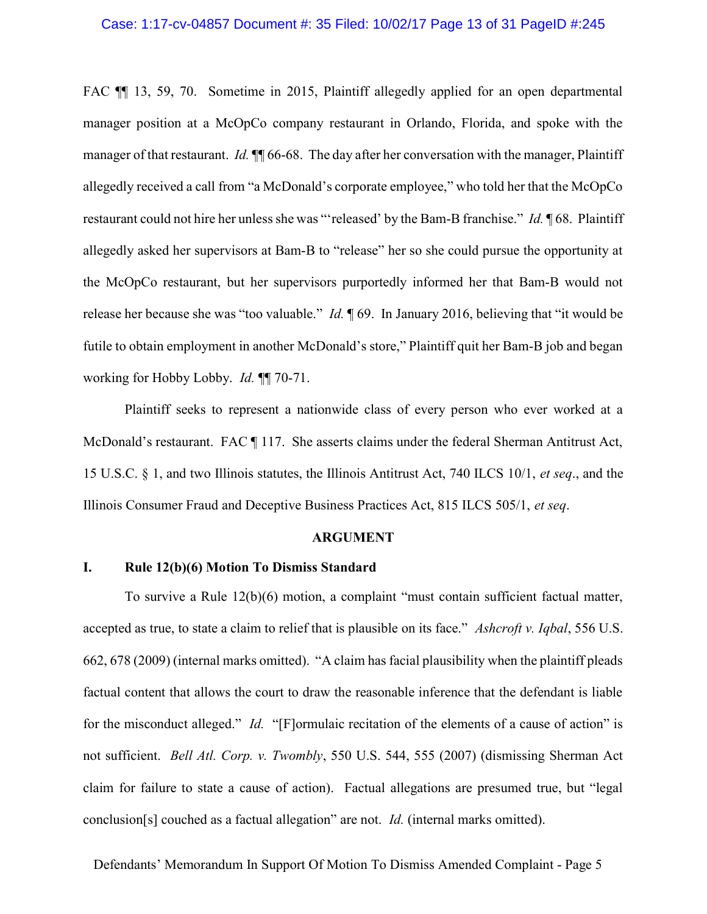### Case: 1:17-cv-04857 Document #: 35 Filed: 10/02/17 Page 13 of 31 PageID #:245

FAC ¶¶ 13, 59, 70. Sometime in 2015, Plaintiff allegedly applied for an open departmental manager position at a McOpCo company restaurant in Orlando, Florida, and spoke with the manager of that restaurant. Id.  $\P$  66-68. The day after her conversation with the manager, Plaintiff allegedly received a call from "a McDonald's corporate employee," who told her that the McOpCo restaurant could not hire her unless she was "'released' by the Bam-B franchise." Id. ¶ 68. Plaintiff allegedly asked her supervisors at Bam-B to "release" her so she could pursue the opportunity at the McOpCo restaurant, but her supervisors purportedly informed her that Bam-B would not release her because she was "too valuable." *Id.*  $\parallel$  69. In January 2016, believing that "it would be futile to obtain employment in another McDonald's store," Plaintiff quit her Bam-B job and began working for Hobby Lobby. Id. ¶¶ 70-71.

Plaintiff seeks to represent a nationwide class of every person who ever worked at a McDonald's restaurant. FAC ¶ 117. She asserts claims under the federal Sherman Antitrust Act, 15 U.S.C. § 1, and two Illinois statutes, the Illinois Antitrust Act, 740 ILCS 10/1, et seq., and the Illinois Consumer Fraud and Deceptive Business Practices Act, 815 ILCS 505/1, et seq.

### ARGUMENT

## I. Rule 12(b)(6) Motion To Dismiss Standard

To survive a Rule 12(b)(6) motion, a complaint "must contain sufficient factual matter, accepted as true, to state a claim to relief that is plausible on its face." Ashcroft v. Iqbal, 556 U.S. 662, 678 (2009) (internal marks omitted). "A claim has facial plausibility when the plaintiff pleads factual content that allows the court to draw the reasonable inference that the defendant is liable for the misconduct alleged." *Id.* "[F]ormulaic recitation of the elements of a cause of action" is not sufficient. Bell Atl. Corp. v. Twombly, 550 U.S. 544, 555 (2007) (dismissing Sherman Act claim for failure to state a cause of action). Factual allegations are presumed true, but "legal conclusion[s] couched as a factual allegation" are not. Id. (internal marks omitted).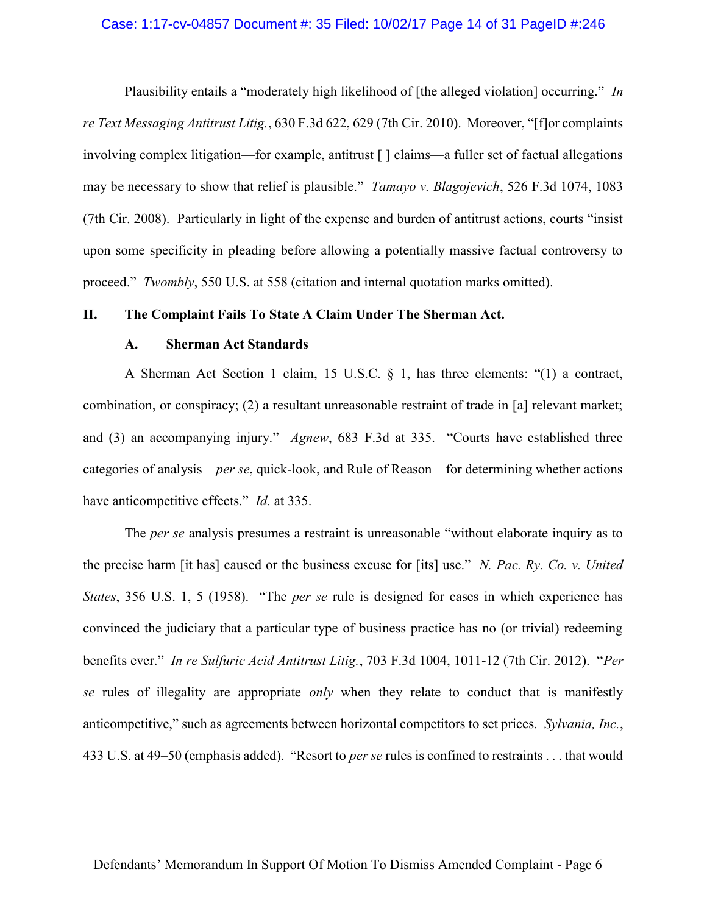### Case: 1:17-cv-04857 Document #: 35 Filed: 10/02/17 Page 14 of 31 PageID #:246

Plausibility entails a "moderately high likelihood of [the alleged violation] occurring." In re Text Messaging Antitrust Litig., 630 F.3d 622, 629 (7th Cir. 2010). Moreover, "[f]or complaints involving complex litigation—for example, antitrust [ ] claims—a fuller set of factual allegations may be necessary to show that relief is plausible." *Tamayo v. Blagojevich*, 526 F.3d 1074, 1083 (7th Cir. 2008). Particularly in light of the expense and burden of antitrust actions, courts "insist upon some specificity in pleading before allowing a potentially massive factual controversy to proceed." Twombly, 550 U.S. at 558 (citation and internal quotation marks omitted).

## II. The Complaint Fails To State A Claim Under The Sherman Act.

## A. Sherman Act Standards

A Sherman Act Section 1 claim, 15 U.S.C. § 1, has three elements: "(1) a contract, combination, or conspiracy; (2) a resultant unreasonable restraint of trade in [a] relevant market; and (3) an accompanying injury." Agnew, 683 F.3d at 335. "Courts have established three categories of analysis—per se, quick-look, and Rule of Reason—for determining whether actions have anticompetitive effects." *Id.* at 335.

The *per se* analysis presumes a restraint is unreasonable "without elaborate inquiry as to the precise harm [it has] caused or the business excuse for [its] use." N. Pac. Ry. Co. v. United States, 356 U.S. 1, 5 (1958). "The *per se* rule is designed for cases in which experience has convinced the judiciary that a particular type of business practice has no (or trivial) redeeming benefits ever." In re Sulfuric Acid Antitrust Litig., 703 F.3d 1004, 1011-12 (7th Cir. 2012). "Per se rules of illegality are appropriate *only* when they relate to conduct that is manifestly anticompetitive," such as agreements between horizontal competitors to set prices. Sylvania, Inc., 433 U.S. at 49–50 (emphasis added). "Resort to *per se* rules is confined to restraints . . . that would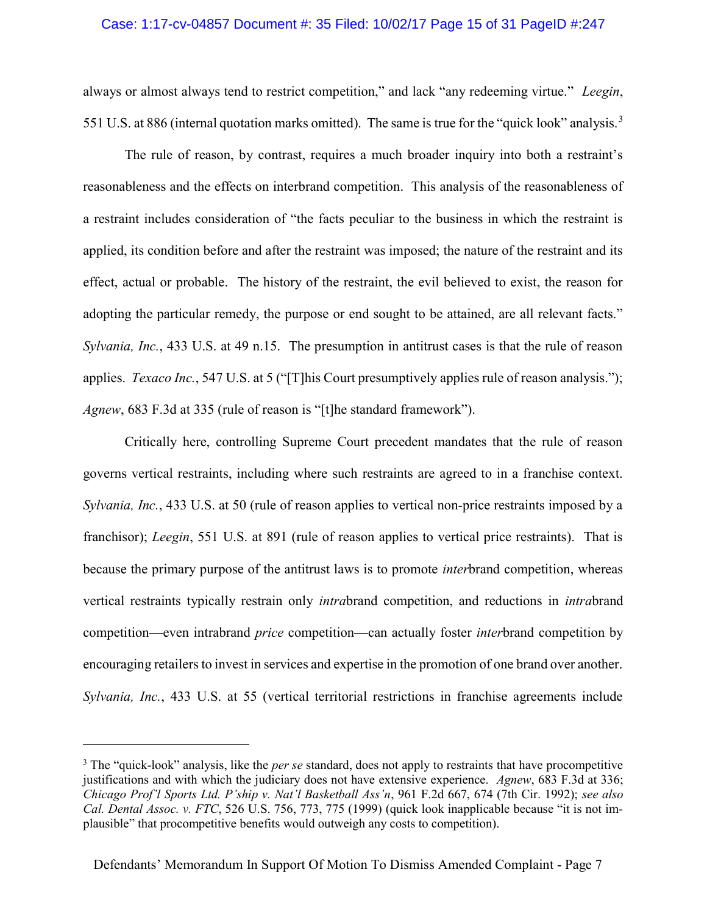## Case: 1:17-cv-04857 Document #: 35 Filed: 10/02/17 Page 15 of 31 PageID #:247

always or almost always tend to restrict competition," and lack "any redeeming virtue." Leegin, 551 U.S. at 886 (internal quotation marks omitted). The same is true for the "quick look" analysis.<sup>3</sup>

The rule of reason, by contrast, requires a much broader inquiry into both a restraint's reasonableness and the effects on interbrand competition. This analysis of the reasonableness of a restraint includes consideration of "the facts peculiar to the business in which the restraint is applied, its condition before and after the restraint was imposed; the nature of the restraint and its effect, actual or probable. The history of the restraint, the evil believed to exist, the reason for adopting the particular remedy, the purpose or end sought to be attained, are all relevant facts." Sylvania, Inc., 433 U.S. at 49 n.15. The presumption in antitrust cases is that the rule of reason applies. *Texaco Inc.*, 547 U.S. at 5 ("[T]his Court presumptively applies rule of reason analysis."); Agnew, 683 F.3d at 335 (rule of reason is "[t]he standard framework").

Critically here, controlling Supreme Court precedent mandates that the rule of reason governs vertical restraints, including where such restraints are agreed to in a franchise context. Sylvania, Inc., 433 U.S. at 50 (rule of reason applies to vertical non-price restraints imposed by a franchisor); Leegin, 551 U.S. at 891 (rule of reason applies to vertical price restraints). That is because the primary purpose of the antitrust laws is to promote interbrand competition, whereas vertical restraints typically restrain only intrabrand competition, and reductions in intrabrand competition—even intrabrand *price* competition—can actually foster *inter*brand competition by encouraging retailers to invest in services and expertise in the promotion of one brand over another. Sylvania, Inc., 433 U.S. at 55 (vertical territorial restrictions in franchise agreements include

 $\overline{a}$ 

 $3$  The "quick-look" analysis, like the *per se* standard, does not apply to restraints that have procompetitive justifications and with which the judiciary does not have extensive experience. Agnew, 683 F.3d at 336; Chicago Prof'l Sports Ltd. P'ship v. Nat'l Basketball Ass'n, 961 F.2d 667, 674 (7th Cir. 1992); see also Cal. Dental Assoc. v. FTC, 526 U.S. 756, 773, 775 (1999) (quick look inapplicable because "it is not implausible" that procompetitive benefits would outweigh any costs to competition).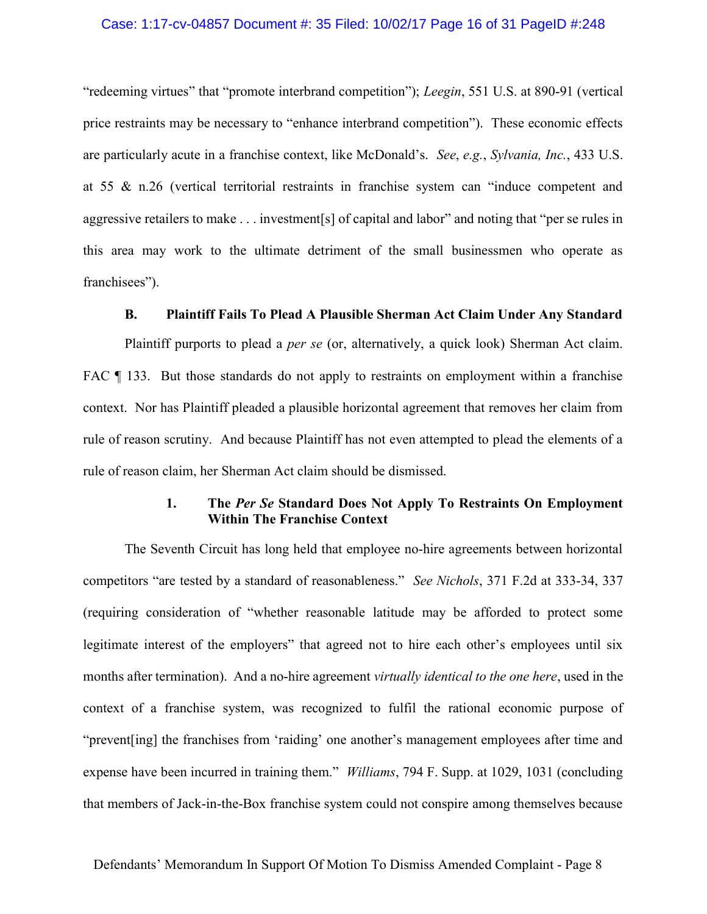### Case: 1:17-cv-04857 Document #: 35 Filed: 10/02/17 Page 16 of 31 PageID #:248

"redeeming virtues" that "promote interbrand competition"); Leegin, 551 U.S. at 890-91 (vertical price restraints may be necessary to "enhance interbrand competition"). These economic effects are particularly acute in a franchise context, like McDonald's. See, e.g., Sylvania, Inc., 433 U.S. at 55 & n.26 (vertical territorial restraints in franchise system can "induce competent and aggressive retailers to make . . . investment[s] of capital and labor" and noting that "per se rules in this area may work to the ultimate detriment of the small businessmen who operate as franchisees").

## B. Plaintiff Fails To Plead A Plausible Sherman Act Claim Under Any Standard

Plaintiff purports to plead a *per se* (or, alternatively, a quick look) Sherman Act claim. FAC  $\P$  133. But those standards do not apply to restraints on employment within a franchise context. Nor has Plaintiff pleaded a plausible horizontal agreement that removes her claim from rule of reason scrutiny. And because Plaintiff has not even attempted to plead the elements of a rule of reason claim, her Sherman Act claim should be dismissed.

## 1. The Per Se Standard Does Not Apply To Restraints On Employment Within The Franchise Context

The Seventh Circuit has long held that employee no-hire agreements between horizontal competitors "are tested by a standard of reasonableness." See Nichols, 371 F.2d at 333-34, 337 (requiring consideration of "whether reasonable latitude may be afforded to protect some legitimate interest of the employers" that agreed not to hire each other's employees until six months after termination). And a no-hire agreement *virtually identical to the one here*, used in the context of a franchise system, was recognized to fulfil the rational economic purpose of "prevent[ing] the franchises from 'raiding' one another's management employees after time and expense have been incurred in training them." *Williams*, 794 F. Supp. at 1029, 1031 (concluding that members of Jack-in-the-Box franchise system could not conspire among themselves because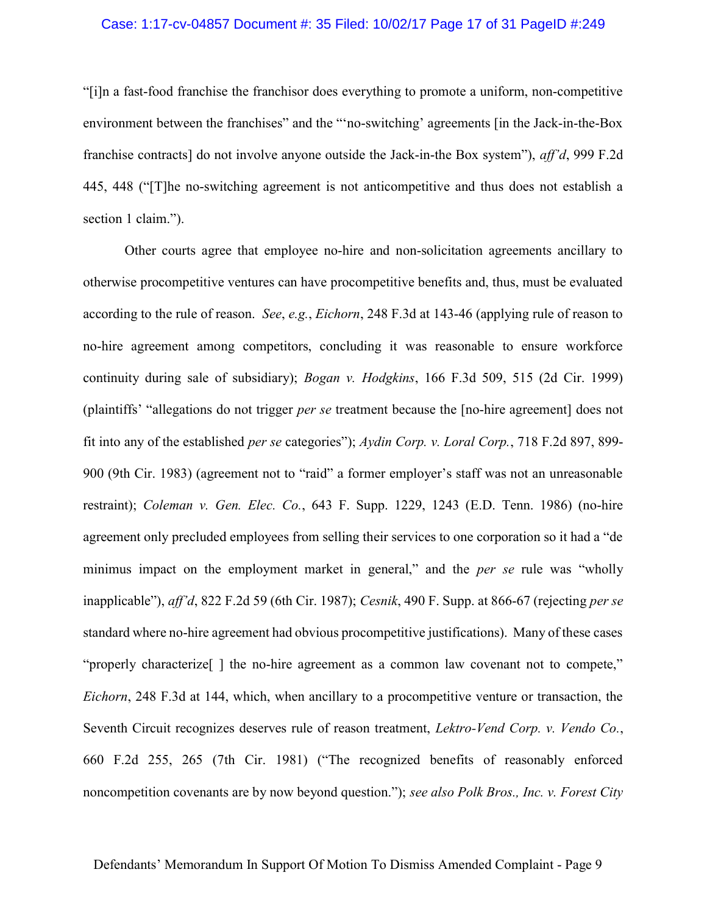### Case: 1:17-cv-04857 Document #: 35 Filed: 10/02/17 Page 17 of 31 PageID #:249

"[i]n a fast-food franchise the franchisor does everything to promote a uniform, non-competitive environment between the franchises" and the "'no-switching' agreements [in the Jack-in-the-Box franchise contracts] do not involve anyone outside the Jack-in-the Box system"), aff'd, 999 F.2d 445, 448 ("[T]he no-switching agreement is not anticompetitive and thus does not establish a section 1 claim.").

Other courts agree that employee no-hire and non-solicitation agreements ancillary to otherwise procompetitive ventures can have procompetitive benefits and, thus, must be evaluated according to the rule of reason. See, e.g., Eichorn, 248 F.3d at 143-46 (applying rule of reason to no-hire agreement among competitors, concluding it was reasonable to ensure workforce continuity during sale of subsidiary); Bogan v. Hodgkins, 166 F.3d 509, 515 (2d Cir. 1999) (plaintiffs' "allegations do not trigger per se treatment because the [no-hire agreement] does not fit into any of the established per se categories"); Aydin Corp. v. Loral Corp., 718 F.2d 897, 899- 900 (9th Cir. 1983) (agreement not to "raid" a former employer's staff was not an unreasonable restraint); Coleman v. Gen. Elec. Co., 643 F. Supp. 1229, 1243 (E.D. Tenn. 1986) (no-hire agreement only precluded employees from selling their services to one corporation so it had a "de minimus impact on the employment market in general," and the *per se* rule was "wholly inapplicable"), aff'd, 822 F.2d 59 (6th Cir. 1987); Cesnik, 490 F. Supp. at 866-67 (rejecting per se standard where no-hire agreement had obvious procompetitive justifications). Many of these cases "properly characterize[ ] the no-hire agreement as a common law covenant not to compete," Eichorn, 248 F.3d at 144, which, when ancillary to a procompetitive venture or transaction, the Seventh Circuit recognizes deserves rule of reason treatment, *Lektro-Vend Corp. v. Vendo Co.*, 660 F.2d 255, 265 (7th Cir. 1981) ("The recognized benefits of reasonably enforced noncompetition covenants are by now beyond question."); see also Polk Bros., Inc. v. Forest City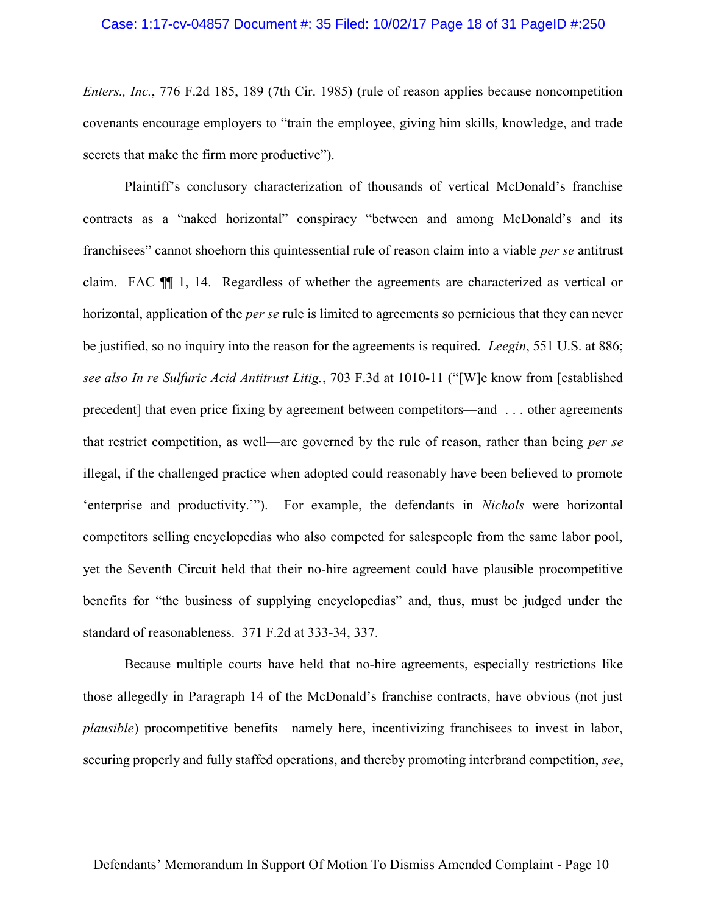## Case: 1:17-cv-04857 Document #: 35 Filed: 10/02/17 Page 18 of 31 PageID #:250

Enters., Inc., 776 F.2d 185, 189 (7th Cir. 1985) (rule of reason applies because noncompetition covenants encourage employers to "train the employee, giving him skills, knowledge, and trade secrets that make the firm more productive").

Plaintiff's conclusory characterization of thousands of vertical McDonald's franchise contracts as a "naked horizontal" conspiracy "between and among McDonald's and its franchisees" cannot shoehorn this quintessential rule of reason claim into a viable *per se* antitrust claim. FAC ¶¶ 1, 14. Regardless of whether the agreements are characterized as vertical or horizontal, application of the *per se* rule is limited to agreements so pernicious that they can never be justified, so no inquiry into the reason for the agreements is required. *Leegin*, 551 U.S. at 886; see also In re Sulfuric Acid Antitrust Litig., 703 F.3d at 1010-11 ("[W]e know from [established precedent] that even price fixing by agreement between competitors—and . . . other agreements that restrict competition, as well—are governed by the rule of reason, rather than being per se illegal, if the challenged practice when adopted could reasonably have been believed to promote 'enterprise and productivity.'"). For example, the defendants in Nichols were horizontal competitors selling encyclopedias who also competed for salespeople from the same labor pool, yet the Seventh Circuit held that their no-hire agreement could have plausible procompetitive benefits for "the business of supplying encyclopedias" and, thus, must be judged under the standard of reasonableness. 371 F.2d at 333-34, 337.

Because multiple courts have held that no-hire agreements, especially restrictions like those allegedly in Paragraph 14 of the McDonald's franchise contracts, have obvious (not just plausible) procompetitive benefits—namely here, incentivizing franchisees to invest in labor, securing properly and fully staffed operations, and thereby promoting interbrand competition, see,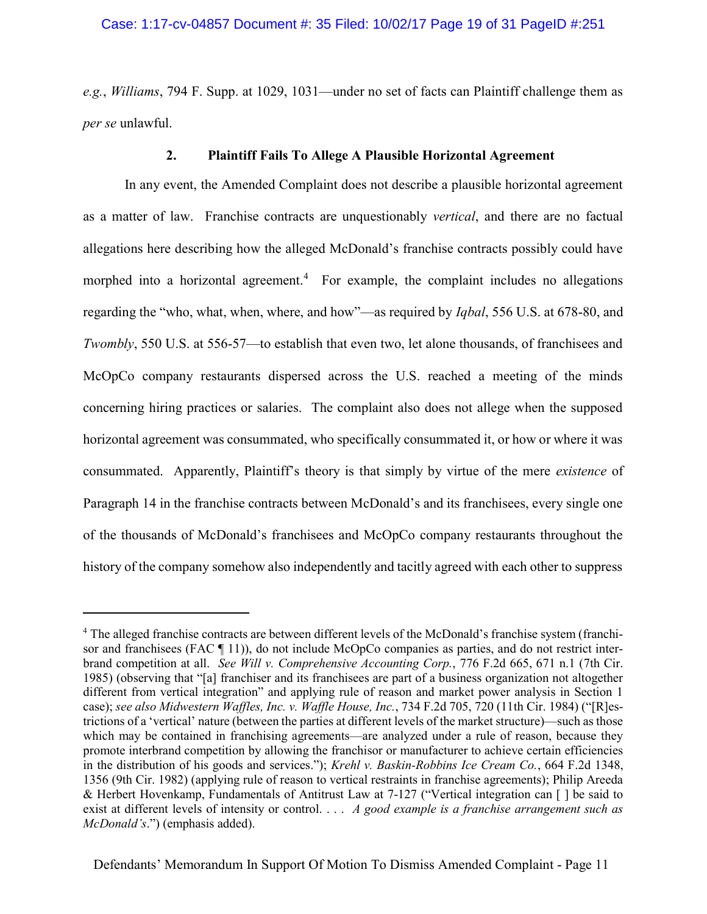e.g., Williams, 794 F. Supp. at 1029, 1031—under no set of facts can Plaintiff challenge them as per se unlawful.

## 2. Plaintiff Fails To Allege A Plausible Horizontal Agreement

In any event, the Amended Complaint does not describe a plausible horizontal agreement as a matter of law. Franchise contracts are unquestionably vertical, and there are no factual allegations here describing how the alleged McDonald's franchise contracts possibly could have morphed into a horizontal agreement.<sup>4</sup> For example, the complaint includes no allegations regarding the "who, what, when, where, and how"—as required by *Iqbal*, 556 U.S. at 678-80, and Twombly, 550 U.S. at 556-57—to establish that even two, let alone thousands, of franchisees and McOpCo company restaurants dispersed across the U.S. reached a meeting of the minds concerning hiring practices or salaries. The complaint also does not allege when the supposed horizontal agreement was consummated, who specifically consummated it, or how or where it was consummated. Apparently, Plaintiff's theory is that simply by virtue of the mere existence of Paragraph 14 in the franchise contracts between McDonald's and its franchisees, every single one of the thousands of McDonald's franchisees and McOpCo company restaurants throughout the history of the company somehow also independently and tacitly agreed with each other to suppress

 $\overline{a}$ 

<sup>&</sup>lt;sup>4</sup> The alleged franchise contracts are between different levels of the McDonald's franchise system (franchisor and franchisees (FAC ¶ 11)), do not include McOpCo companies as parties, and do not restrict interbrand competition at all. See Will v. Comprehensive Accounting Corp., 776 F.2d 665, 671 n.1 (7th Cir. 1985) (observing that "[a] franchiser and its franchisees are part of a business organization not altogether different from vertical integration" and applying rule of reason and market power analysis in Section 1 case); see also Midwestern Waffles, Inc. v. Waffle House, Inc., 734 F.2d 705, 720 (11th Cir. 1984) ("[R]estrictions of a 'vertical' nature (between the parties at different levels of the market structure)—such as those which may be contained in franchising agreements—are analyzed under a rule of reason, because they promote interbrand competition by allowing the franchisor or manufacturer to achieve certain efficiencies in the distribution of his goods and services."); Krehl v. Baskin-Robbins Ice Cream Co., 664 F.2d 1348, 1356 (9th Cir. 1982) (applying rule of reason to vertical restraints in franchise agreements); Philip Areeda & Herbert Hovenkamp, Fundamentals of Antitrust Law at 7-127 ("Vertical integration can [ ] be said to exist at different levels of intensity or control.  $\ldots$  A good example is a franchise arrangement such as McDonald's.") (emphasis added).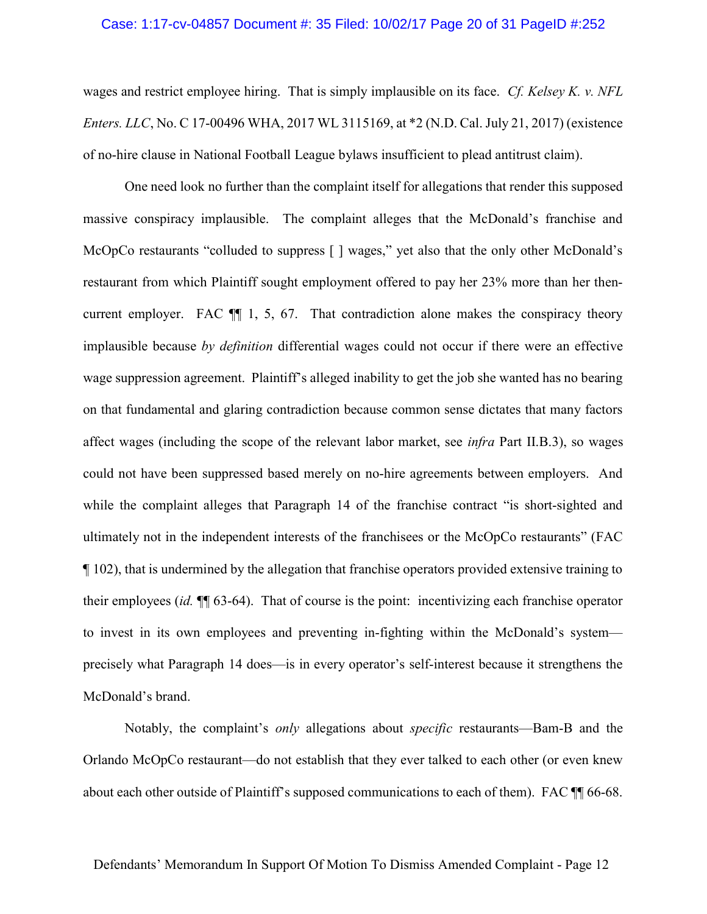#### Case: 1:17-cv-04857 Document #: 35 Filed: 10/02/17 Page 20 of 31 PageID #:252

wages and restrict employee hiring. That is simply implausible on its face. Cf. Kelsey K. v. NFL Enters. LLC, No. C 17-00496 WHA, 2017 WL 3115169, at \*2 (N.D. Cal. July 21, 2017) (existence of no-hire clause in National Football League bylaws insufficient to plead antitrust claim).

One need look no further than the complaint itself for allegations that render this supposed massive conspiracy implausible. The complaint alleges that the McDonald's franchise and McOpCo restaurants "colluded to suppress  $\lceil \cdot \rceil$  wages," yet also that the only other McDonald's restaurant from which Plaintiff sought employment offered to pay her 23% more than her thencurrent employer. FAC ¶¶ 1, 5, 67. That contradiction alone makes the conspiracy theory implausible because by definition differential wages could not occur if there were an effective wage suppression agreement. Plaintiff's alleged inability to get the job she wanted has no bearing on that fundamental and glaring contradiction because common sense dictates that many factors affect wages (including the scope of the relevant labor market, see infra Part II.B.3), so wages could not have been suppressed based merely on no-hire agreements between employers. And while the complaint alleges that Paragraph 14 of the franchise contract "is short-sighted and ultimately not in the independent interests of the franchisees or the McOpCo restaurants" (FAC ¶ 102), that is undermined by the allegation that franchise operators provided extensive training to their employees (id. ¶¶ 63-64). That of course is the point: incentivizing each franchise operator to invest in its own employees and preventing in-fighting within the McDonald's system precisely what Paragraph 14 does—is in every operator's self-interest because it strengthens the McDonald's brand.

Notably, the complaint's only allegations about specific restaurants—Bam-B and the Orlando McOpCo restaurant—do not establish that they ever talked to each other (or even knew about each other outside of Plaintiff's supposed communications to each of them). FAC ¶¶ 66-68.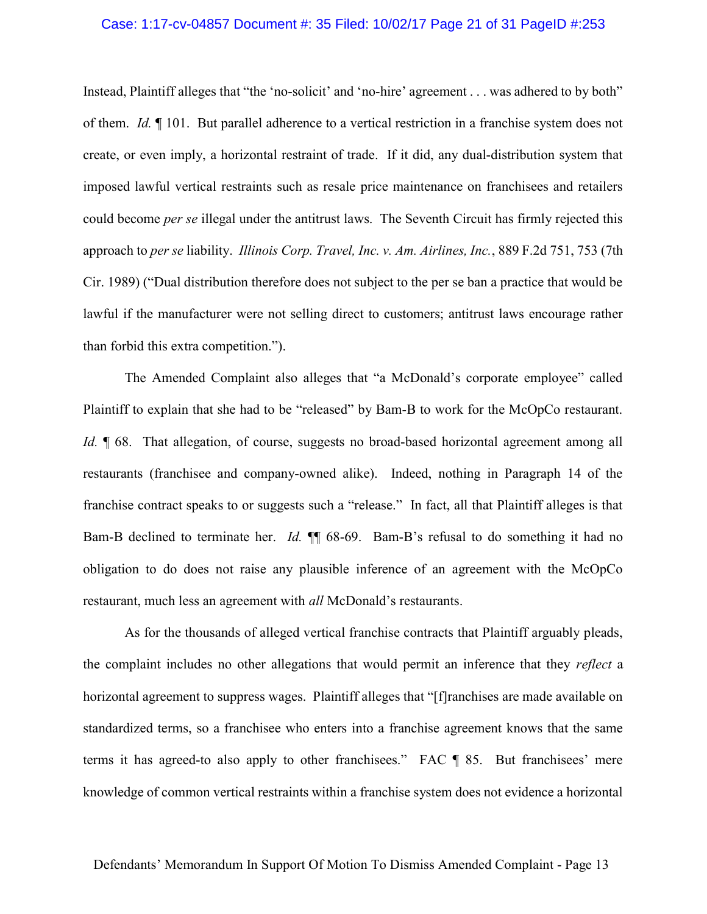### Case: 1:17-cv-04857 Document #: 35 Filed: 10/02/17 Page 21 of 31 PageID #:253

Instead, Plaintiff alleges that "the 'no-solicit' and 'no-hire' agreement . . . was adhered to by both" of them. Id. ¶ 101. But parallel adherence to a vertical restriction in a franchise system does not create, or even imply, a horizontal restraint of trade. If it did, any dual-distribution system that imposed lawful vertical restraints such as resale price maintenance on franchisees and retailers could become per se illegal under the antitrust laws. The Seventh Circuit has firmly rejected this approach to per se liability. Illinois Corp. Travel, Inc. v. Am. Airlines, Inc., 889 F.2d 751, 753 (7th Cir. 1989) ("Dual distribution therefore does not subject to the per se ban a practice that would be lawful if the manufacturer were not selling direct to customers; antitrust laws encourage rather than forbid this extra competition.").

The Amended Complaint also alleges that "a McDonald's corporate employee" called Plaintiff to explain that she had to be "released" by Bam-B to work for the McOpCo restaurant. Id.  $\parallel$  68. That allegation, of course, suggests no broad-based horizontal agreement among all restaurants (franchisee and company-owned alike). Indeed, nothing in Paragraph 14 of the franchise contract speaks to or suggests such a "release." In fact, all that Plaintiff alleges is that Bam-B declined to terminate her. *Id.*  $\mathbb{I}$  68-69. Bam-B's refusal to do something it had no obligation to do does not raise any plausible inference of an agreement with the McOpCo restaurant, much less an agreement with *all* McDonald's restaurants.

As for the thousands of alleged vertical franchise contracts that Plaintiff arguably pleads, the complaint includes no other allegations that would permit an inference that they *reflect* a horizontal agreement to suppress wages. Plaintiff alleges that "[f]ranchises are made available on standardized terms, so a franchisee who enters into a franchise agreement knows that the same terms it has agreed-to also apply to other franchisees." FAC ¶ 85. But franchisees' mere knowledge of common vertical restraints within a franchise system does not evidence a horizontal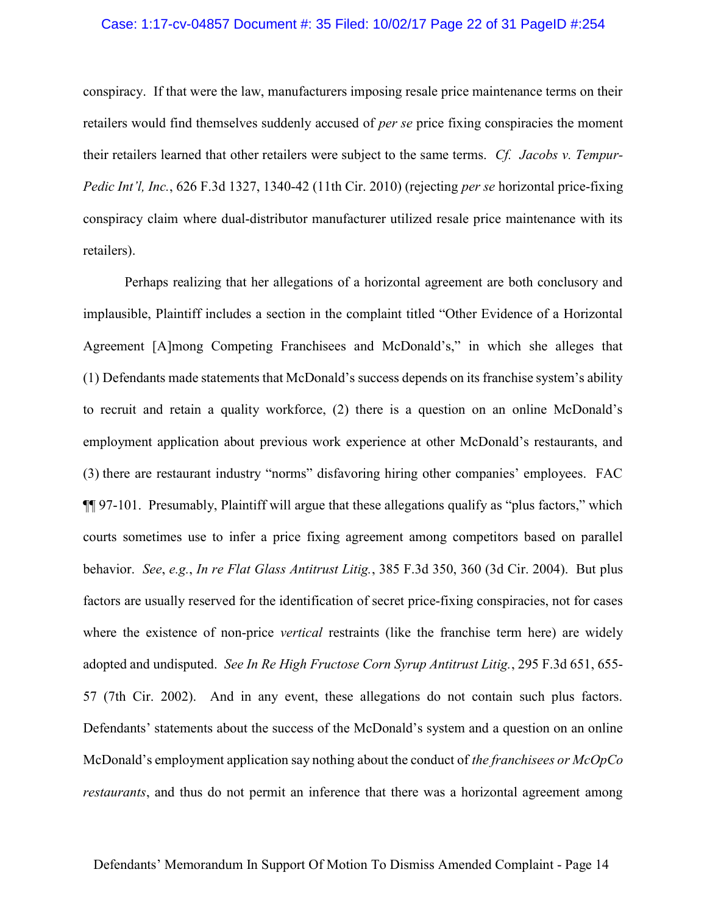### Case: 1:17-cv-04857 Document #: 35 Filed: 10/02/17 Page 22 of 31 PageID #:254

conspiracy. If that were the law, manufacturers imposing resale price maintenance terms on their retailers would find themselves suddenly accused of *per se* price fixing conspiracies the moment their retailers learned that other retailers were subject to the same terms. Cf. Jacobs v. Tempur-Pedic Int'l, Inc., 626 F.3d 1327, 1340-42 (11th Cir. 2010) (rejecting per se horizontal price-fixing conspiracy claim where dual-distributor manufacturer utilized resale price maintenance with its retailers).

Perhaps realizing that her allegations of a horizontal agreement are both conclusory and implausible, Plaintiff includes a section in the complaint titled "Other Evidence of a Horizontal Agreement [A]mong Competing Franchisees and McDonald's," in which she alleges that (1) Defendants made statements that McDonald's success depends on its franchise system's ability to recruit and retain a quality workforce, (2) there is a question on an online McDonald's employment application about previous work experience at other McDonald's restaurants, and (3) there are restaurant industry "norms" disfavoring hiring other companies' employees. FAC ¶¶ 97-101. Presumably, Plaintiff will argue that these allegations qualify as "plus factors," which courts sometimes use to infer a price fixing agreement among competitors based on parallel behavior. See, e.g., In re Flat Glass Antitrust Litig., 385 F.3d 350, 360 (3d Cir. 2004). But plus factors are usually reserved for the identification of secret price-fixing conspiracies, not for cases where the existence of non-price vertical restraints (like the franchise term here) are widely adopted and undisputed. See In Re High Fructose Corn Syrup Antitrust Litig., 295 F.3d 651, 655-57 (7th Cir. 2002). And in any event, these allegations do not contain such plus factors. Defendants' statements about the success of the McDonald's system and a question on an online McDonald's employment application say nothing about the conduct of the franchisees or McOpCo restaurants, and thus do not permit an inference that there was a horizontal agreement among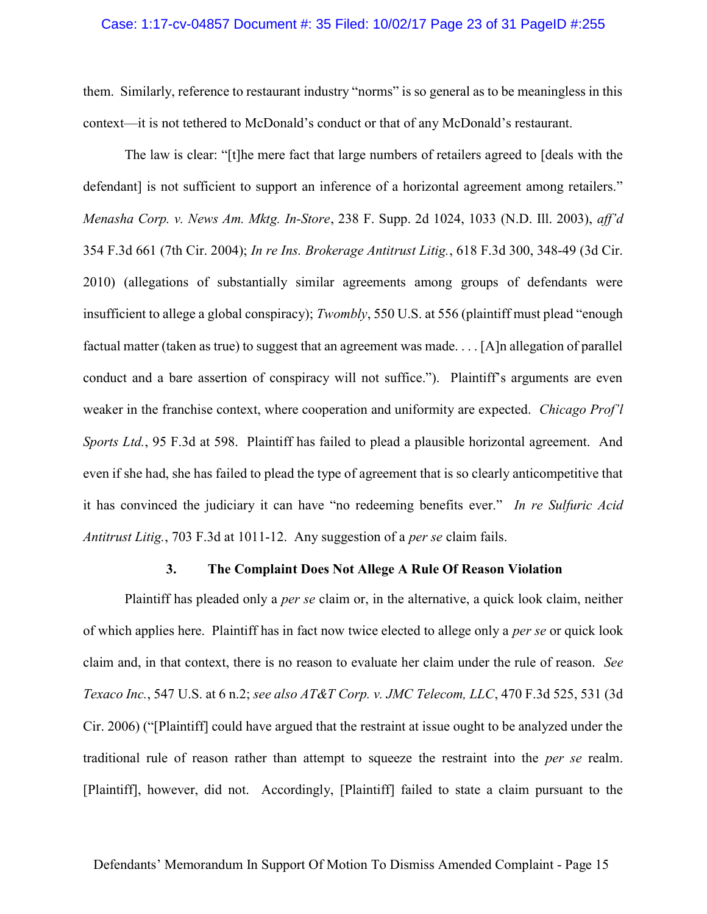### Case: 1:17-cv-04857 Document #: 35 Filed: 10/02/17 Page 23 of 31 PageID #:255

them. Similarly, reference to restaurant industry "norms" is so general as to be meaningless in this context—it is not tethered to McDonald's conduct or that of any McDonald's restaurant.

The law is clear: "[t]he mere fact that large numbers of retailers agreed to [deals with the defendant] is not sufficient to support an inference of a horizontal agreement among retailers." Menasha Corp. v. News Am. Mktg. In-Store, 238 F. Supp. 2d 1024, 1033 (N.D. Ill. 2003), aff'd 354 F.3d 661 (7th Cir. 2004); In re Ins. Brokerage Antitrust Litig., 618 F.3d 300, 348-49 (3d Cir. 2010) (allegations of substantially similar agreements among groups of defendants were insufficient to allege a global conspiracy); Twombly, 550 U.S. at 556 (plaintiff must plead "enough factual matter (taken as true) to suggest that an agreement was made. . . . [A]n allegation of parallel conduct and a bare assertion of conspiracy will not suffice."). Plaintiff's arguments are even weaker in the franchise context, where cooperation and uniformity are expected. Chicago Prof'l Sports Ltd., 95 F.3d at 598. Plaintiff has failed to plead a plausible horizontal agreement. And even if she had, she has failed to plead the type of agreement that is so clearly anticompetitive that it has convinced the judiciary it can have "no redeeming benefits ever." In re Sulfuric Acid Antitrust Litig., 703 F.3d at 1011-12. Any suggestion of a *per se* claim fails.

### 3. The Complaint Does Not Allege A Rule Of Reason Violation

Plaintiff has pleaded only a *per se* claim or, in the alternative, a quick look claim, neither of which applies here. Plaintiff has in fact now twice elected to allege only a *per se* or quick look claim and, in that context, there is no reason to evaluate her claim under the rule of reason. See Texaco Inc., 547 U.S. at 6 n.2; see also AT&T Corp. v. JMC Telecom, LLC, 470 F.3d 525, 531 (3d Cir. 2006) ("[Plaintiff] could have argued that the restraint at issue ought to be analyzed under the traditional rule of reason rather than attempt to squeeze the restraint into the per se realm. [Plaintiff], however, did not. Accordingly, [Plaintiff] failed to state a claim pursuant to the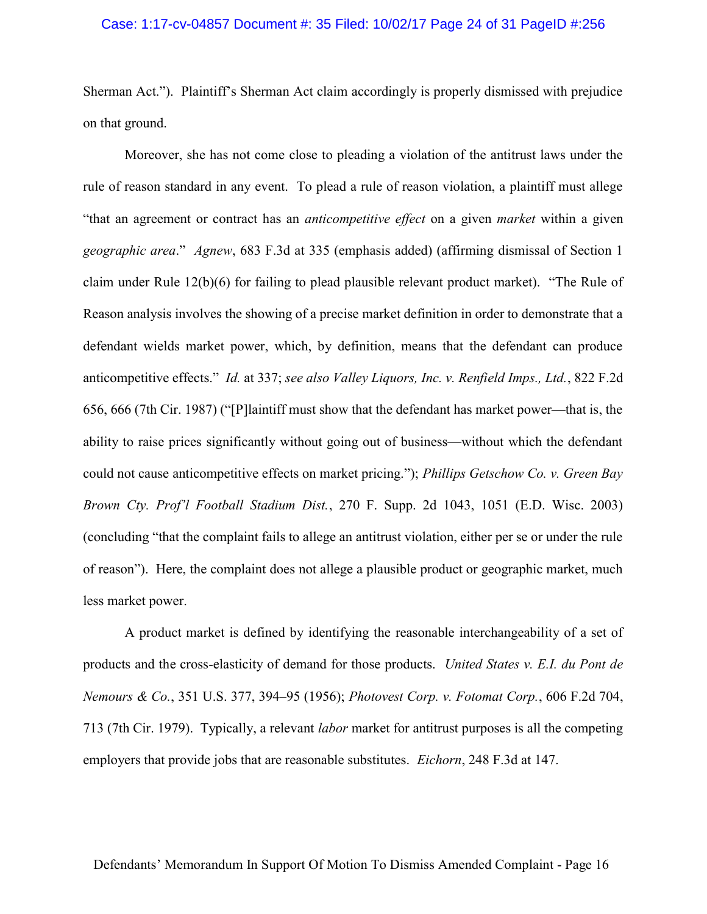### Case: 1:17-cv-04857 Document #: 35 Filed: 10/02/17 Page 24 of 31 PageID #:256

Sherman Act."). Plaintiff's Sherman Act claim accordingly is properly dismissed with prejudice on that ground.

Moreover, she has not come close to pleading a violation of the antitrust laws under the rule of reason standard in any event. To plead a rule of reason violation, a plaintiff must allege "that an agreement or contract has an anticompetitive effect on a given market within a given geographic area." Agnew, 683 F.3d at 335 (emphasis added) (affirming dismissal of Section 1 claim under Rule 12(b)(6) for failing to plead plausible relevant product market). "The Rule of Reason analysis involves the showing of a precise market definition in order to demonstrate that a defendant wields market power, which, by definition, means that the defendant can produce anticompetitive effects." Id. at 337; see also Valley Liquors, Inc. v. Renfield Imps., Ltd., 822 F.2d 656, 666 (7th Cir. 1987) ("[P]laintiff must show that the defendant has market power—that is, the ability to raise prices significantly without going out of business—without which the defendant could not cause anticompetitive effects on market pricing."); Phillips Getschow Co. v. Green Bay Brown Cty. Prof'l Football Stadium Dist., 270 F. Supp. 2d 1043, 1051 (E.D. Wisc. 2003) (concluding "that the complaint fails to allege an antitrust violation, either per se or under the rule of reason"). Here, the complaint does not allege a plausible product or geographic market, much less market power.

A product market is defined by identifying the reasonable interchangeability of a set of products and the cross-elasticity of demand for those products. United States v. E.I. du Pont de Nemours & Co., 351 U.S. 377, 394–95 (1956); Photovest Corp. v. Fotomat Corp., 606 F.2d 704, 713 (7th Cir. 1979). Typically, a relevant labor market for antitrust purposes is all the competing employers that provide jobs that are reasonable substitutes. *Eichorn*, 248 F.3d at 147.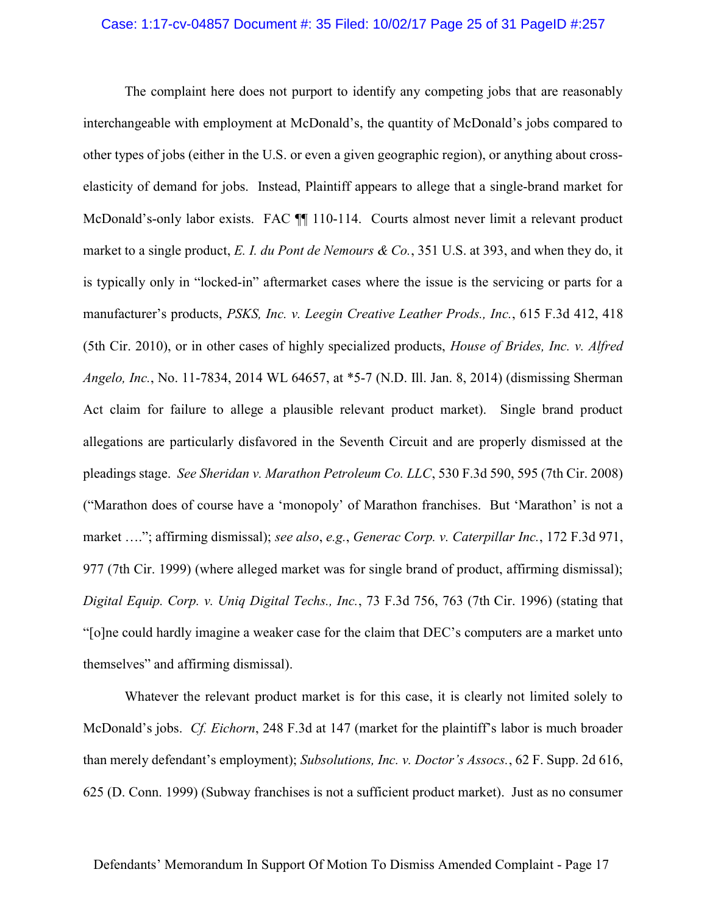#### Case: 1:17-cv-04857 Document #: 35 Filed: 10/02/17 Page 25 of 31 PageID #:257

The complaint here does not purport to identify any competing jobs that are reasonably interchangeable with employment at McDonald's, the quantity of McDonald's jobs compared to other types of jobs (either in the U.S. or even a given geographic region), or anything about crosselasticity of demand for jobs. Instead, Plaintiff appears to allege that a single-brand market for McDonald's-only labor exists. FAC  $\P$  110-114. Courts almost never limit a relevant product market to a single product, E. I. du Pont de Nemours & Co., 351 U.S. at 393, and when they do, it is typically only in "locked-in" aftermarket cases where the issue is the servicing or parts for a manufacturer's products, PSKS, Inc. v. Leegin Creative Leather Prods., Inc., 615 F.3d 412, 418 (5th Cir. 2010), or in other cases of highly specialized products, House of Brides, Inc. v. Alfred Angelo, Inc., No. 11-7834, 2014 WL 64657, at \*5-7 (N.D. Ill. Jan. 8, 2014) (dismissing Sherman Act claim for failure to allege a plausible relevant product market). Single brand product allegations are particularly disfavored in the Seventh Circuit and are properly dismissed at the pleadings stage. See Sheridan v. Marathon Petroleum Co. LLC, 530 F.3d 590, 595 (7th Cir. 2008) ("Marathon does of course have a 'monopoly' of Marathon franchises. But 'Marathon' is not a market …."; affirming dismissal); see also, e.g., Generac Corp. v. Caterpillar Inc., 172 F.3d 971, 977 (7th Cir. 1999) (where alleged market was for single brand of product, affirming dismissal); Digital Equip. Corp. v. Uniq Digital Techs., Inc., 73 F.3d 756, 763 (7th Cir. 1996) (stating that "[o]ne could hardly imagine a weaker case for the claim that DEC's computers are a market unto themselves" and affirming dismissal).

Whatever the relevant product market is for this case, it is clearly not limited solely to McDonald's jobs. Cf. Eichorn, 248 F.3d at 147 (market for the plaintiff's labor is much broader than merely defendant's employment); Subsolutions, Inc. v. Doctor's Assocs., 62 F. Supp. 2d 616, 625 (D. Conn. 1999) (Subway franchises is not a sufficient product market). Just as no consumer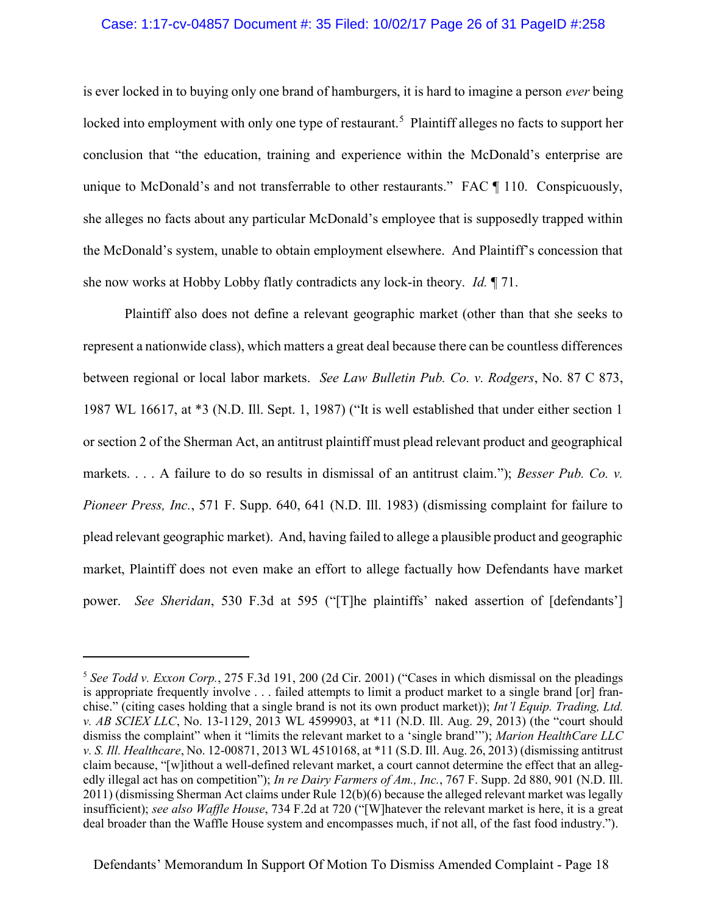## Case: 1:17-cv-04857 Document #: 35 Filed: 10/02/17 Page 26 of 31 PageID #:258

is ever locked in to buying only one brand of hamburgers, it is hard to imagine a person *ever* being locked into employment with only one type of restaurant.<sup>5</sup> Plaintiff alleges no facts to support her conclusion that "the education, training and experience within the McDonald's enterprise are unique to McDonald's and not transferrable to other restaurants." FAC ¶ 110. Conspicuously, she alleges no facts about any particular McDonald's employee that is supposedly trapped within the McDonald's system, unable to obtain employment elsewhere. And Plaintiff's concession that she now works at Hobby Lobby flatly contradicts any lock-in theory. Id. ¶ 71.

Plaintiff also does not define a relevant geographic market (other than that she seeks to represent a nationwide class), which matters a great deal because there can be countless differences between regional or local labor markets. See Law Bulletin Pub. Co. v. Rodgers, No. 87 C 873, 1987 WL 16617, at \*3 (N.D. Ill. Sept. 1, 1987) ("It is well established that under either section 1 or section 2 of the Sherman Act, an antitrust plaintiff must plead relevant product and geographical markets. . . . A failure to do so results in dismissal of an antitrust claim."); Besser Pub. Co. v. Pioneer Press, Inc., 571 F. Supp. 640, 641 (N.D. Ill. 1983) (dismissing complaint for failure to plead relevant geographic market). And, having failed to allege a plausible product and geographic market, Plaintiff does not even make an effort to allege factually how Defendants have market power. See Sheridan, 530 F.3d at 595 ("[T]he plaintiffs' naked assertion of [defendants']

 $\overline{a}$ 

<sup>&</sup>lt;sup>5</sup> See Todd v. Exxon Corp., 275 F.3d 191, 200 (2d Cir. 2001) ("Cases in which dismissal on the pleadings is appropriate frequently involve . . . failed attempts to limit a product market to a single brand [or] franchise." (citing cases holding that a single brand is not its own product market)); Int'l Equip. Trading, Ltd. v. AB SCIEX LLC, No. 13-1129, 2013 WL 4599903, at \*11 (N.D. Ill. Aug. 29, 2013) (the "court should dismiss the complaint" when it "limits the relevant market to a 'single brand'"); Marion HealthCare LLC v. S. Ill. Healthcare, No. 12-00871, 2013 WL 4510168, at \*11 (S.D. Ill. Aug. 26, 2013) (dismissing antitrust claim because, "[w]ithout a well-defined relevant market, a court cannot determine the effect that an allegedly illegal act has on competition"); In re Dairy Farmers of Am., Inc., 767 F. Supp. 2d 880, 901 (N.D. Ill. 2011) (dismissing Sherman Act claims under Rule 12(b)(6) because the alleged relevant market was legally insufficient); see also Waffle House, 734 F.2d at 720 ("[W]hatever the relevant market is here, it is a great deal broader than the Waffle House system and encompasses much, if not all, of the fast food industry.").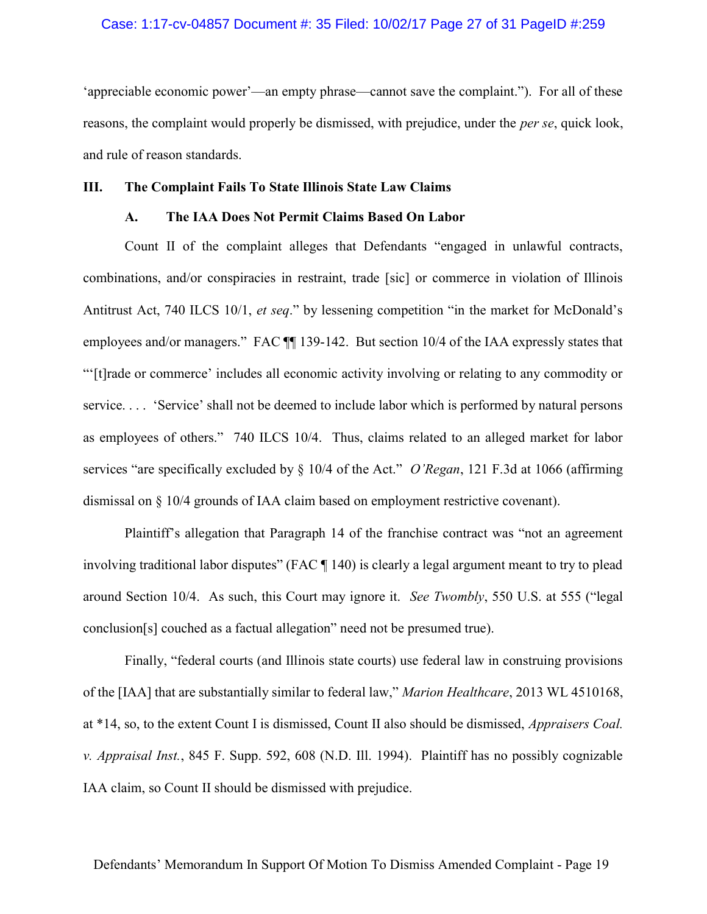## Case: 1:17-cv-04857 Document #: 35 Filed: 10/02/17 Page 27 of 31 PageID #:259

'appreciable economic power'—an empty phrase—cannot save the complaint."). For all of these reasons, the complaint would properly be dismissed, with prejudice, under the per se, quick look, and rule of reason standards.

## III. The Complaint Fails To State Illinois State Law Claims

### A. The IAA Does Not Permit Claims Based On Labor

Count II of the complaint alleges that Defendants "engaged in unlawful contracts, combinations, and/or conspiracies in restraint, trade [sic] or commerce in violation of Illinois Antitrust Act, 740 ILCS 10/1, et seq." by lessening competition "in the market for McDonald's employees and/or managers." FAC  $\P$  139-142. But section 10/4 of the IAA expressly states that "'[t]rade or commerce' includes all economic activity involving or relating to any commodity or service. . . . 'Service' shall not be deemed to include labor which is performed by natural persons as employees of others." 740 ILCS 10/4. Thus, claims related to an alleged market for labor services "are specifically excluded by § 10/4 of the Act." O'Regan, 121 F.3d at 1066 (affirming dismissal on § 10/4 grounds of IAA claim based on employment restrictive covenant).

Plaintiff's allegation that Paragraph 14 of the franchise contract was "not an agreement involving traditional labor disputes" (FAC ¶ 140) is clearly a legal argument meant to try to plead around Section 10/4. As such, this Court may ignore it. See Twombly, 550 U.S. at 555 ("legal conclusion[s] couched as a factual allegation" need not be presumed true).

Finally, "federal courts (and Illinois state courts) use federal law in construing provisions of the [IAA] that are substantially similar to federal law," Marion Healthcare, 2013 WL 4510168, at \*14, so, to the extent Count I is dismissed, Count II also should be dismissed, Appraisers Coal. v. Appraisal Inst., 845 F. Supp. 592, 608 (N.D. Ill. 1994). Plaintiff has no possibly cognizable IAA claim, so Count II should be dismissed with prejudice.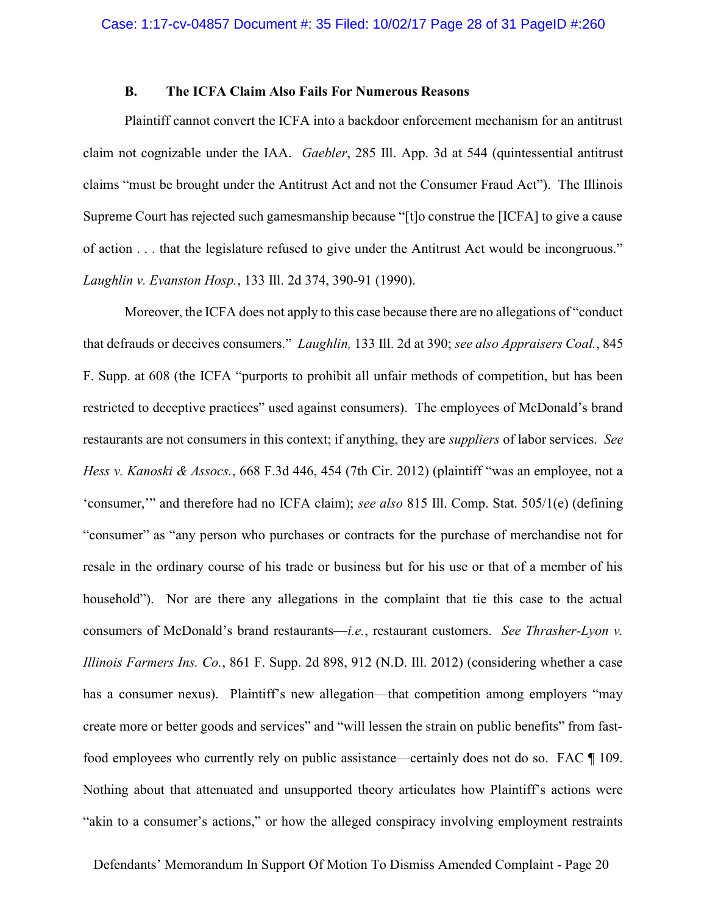## B. The ICFA Claim Also Fails For Numerous Reasons

Plaintiff cannot convert the ICFA into a backdoor enforcement mechanism for an antitrust claim not cognizable under the IAA. Gaebler, 285 Ill. App. 3d at 544 (quintessential antitrust claims "must be brought under the Antitrust Act and not the Consumer Fraud Act"). The Illinois Supreme Court has rejected such gamesmanship because "[t]o construe the [ICFA] to give a cause of action . . . that the legislature refused to give under the Antitrust Act would be incongruous." Laughlin v. Evanston Hosp., 133 Ill. 2d 374, 390-91 (1990).

Moreover, the ICFA does not apply to this case because there are no allegations of "conduct that defrauds or deceives consumers." Laughlin, 133 Ill. 2d at 390; see also Appraisers Coal., 845 F. Supp. at 608 (the ICFA "purports to prohibit all unfair methods of competition, but has been restricted to deceptive practices" used against consumers). The employees of McDonald's brand restaurants are not consumers in this context; if anything, they are *suppliers* of labor services. See Hess v. Kanoski & Assocs., 668 F.3d 446, 454 (7th Cir. 2012) (plaintiff "was an employee, not a 'consumer,'" and therefore had no ICFA claim); see also 815 Ill. Comp. Stat. 505/1(e) (defining "consumer" as "any person who purchases or contracts for the purchase of merchandise not for resale in the ordinary course of his trade or business but for his use or that of a member of his household"). Nor are there any allegations in the complaint that tie this case to the actual consumers of McDonald's brand restaurants—*i.e.*, restaurant customers. See Thrasher-Lyon v. Illinois Farmers Ins. Co., 861 F. Supp. 2d 898, 912 (N.D. Ill. 2012) (considering whether a case has a consumer nexus). Plaintiff's new allegation—that competition among employers "may create more or better goods and services" and "will lessen the strain on public benefits" from fastfood employees who currently rely on public assistance—certainly does not do so. FAC ¶ 109. Nothing about that attenuated and unsupported theory articulates how Plaintiff's actions were "akin to a consumer's actions," or how the alleged conspiracy involving employment restraints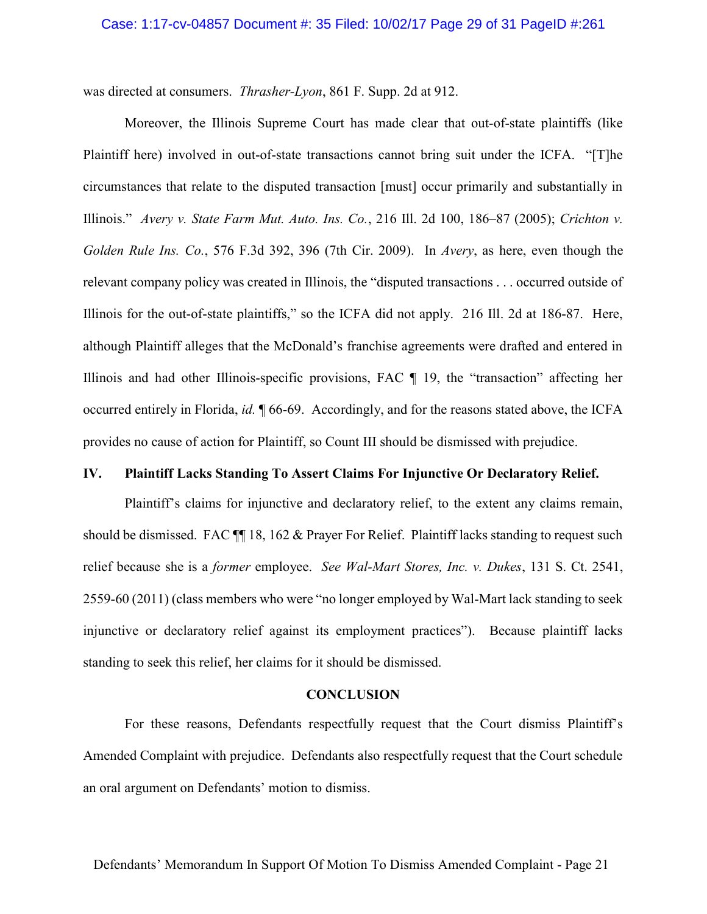### Case: 1:17-cv-04857 Document #: 35 Filed: 10/02/17 Page 29 of 31 PageID #:261

was directed at consumers. Thrasher-Lyon, 861 F. Supp. 2d at 912.

Moreover, the Illinois Supreme Court has made clear that out-of-state plaintiffs (like Plaintiff here) involved in out-of-state transactions cannot bring suit under the ICFA. "[T]he circumstances that relate to the disputed transaction [must] occur primarily and substantially in Illinois." Avery v. State Farm Mut. Auto. Ins. Co., 216 Ill. 2d 100, 186–87 (2005); Crichton v. Golden Rule Ins. Co., 576 F.3d 392, 396 (7th Cir. 2009). In Avery, as here, even though the relevant company policy was created in Illinois, the "disputed transactions . . . occurred outside of Illinois for the out-of-state plaintiffs," so the ICFA did not apply. 216 Ill. 2d at 186-87. Here, although Plaintiff alleges that the McDonald's franchise agreements were drafted and entered in Illinois and had other Illinois-specific provisions, FAC ¶ 19, the "transaction" affecting her occurred entirely in Florida, id. ¶ 66-69. Accordingly, and for the reasons stated above, the ICFA provides no cause of action for Plaintiff, so Count III should be dismissed with prejudice.

## IV. Plaintiff Lacks Standing To Assert Claims For Injunctive Or Declaratory Relief.

Plaintiff's claims for injunctive and declaratory relief, to the extent any claims remain, should be dismissed. FAC  $\P$  18, 162 & Prayer For Relief. Plaintiff lacks standing to request such relief because she is a *former* employee. See Wal-Mart Stores, Inc. v. Dukes, 131 S. Ct. 2541, 2559-60 (2011) (class members who were "no longer employed by Wal-Mart lack standing to seek injunctive or declaratory relief against its employment practices"). Because plaintiff lacks standing to seek this relief, her claims for it should be dismissed.

### CONCLUSION

For these reasons, Defendants respectfully request that the Court dismiss Plaintiff's Amended Complaint with prejudice. Defendants also respectfully request that the Court schedule an oral argument on Defendants' motion to dismiss.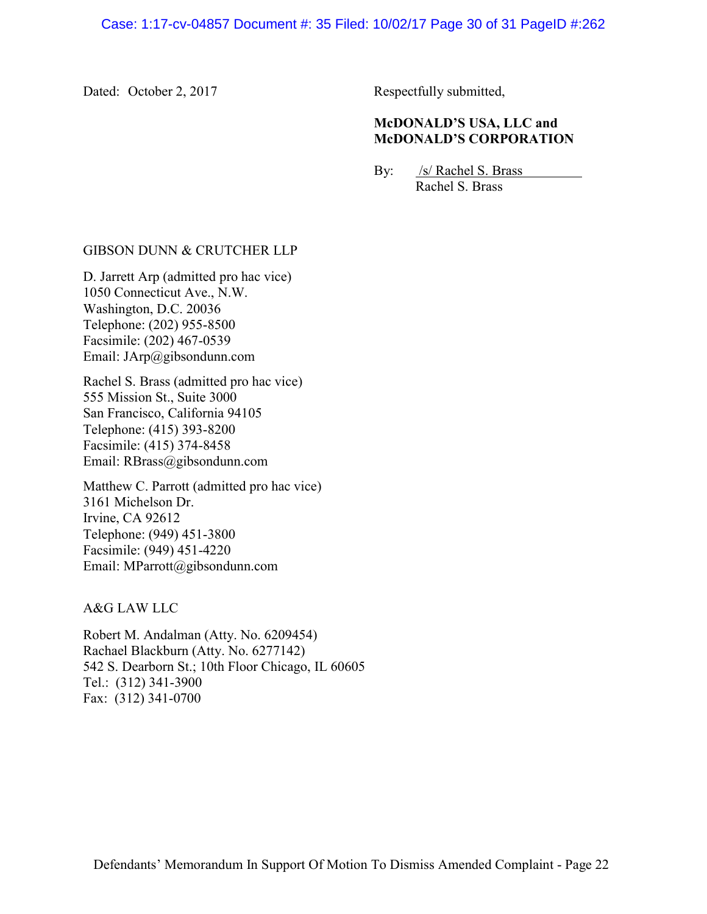Dated: October 2, 2017 Respectfully submitted,

## McDONALD'S USA, LLC and McDONALD'S CORPORATION

By: /s/ Rachel S. Brass Rachel S. Brass

## GIBSON DUNN & CRUTCHER LLP

D. Jarrett Arp (admitted pro hac vice) 1050 Connecticut Ave., N.W. Washington, D.C. 20036 Telephone: (202) 955-8500 Facsimile: (202) 467-0539 Email: JArp@gibsondunn.com

Rachel S. Brass (admitted pro hac vice) 555 Mission St., Suite 3000 San Francisco, California 94105 Telephone: (415) 393-8200 Facsimile: (415) 374-8458 Email: RBrass@gibsondunn.com

Matthew C. Parrott (admitted pro hac vice) 3161 Michelson Dr. Irvine, CA 92612 Telephone: (949) 451-3800 Facsimile: (949) 451-4220 Email: MParrott@gibsondunn.com

A&G LAW LLC

Robert M. Andalman (Atty. No. 6209454) Rachael Blackburn (Atty. No. 6277142) 542 S. Dearborn St.; 10th Floor Chicago, IL 60605 Tel.: (312) 341-3900 Fax: (312) 341-0700